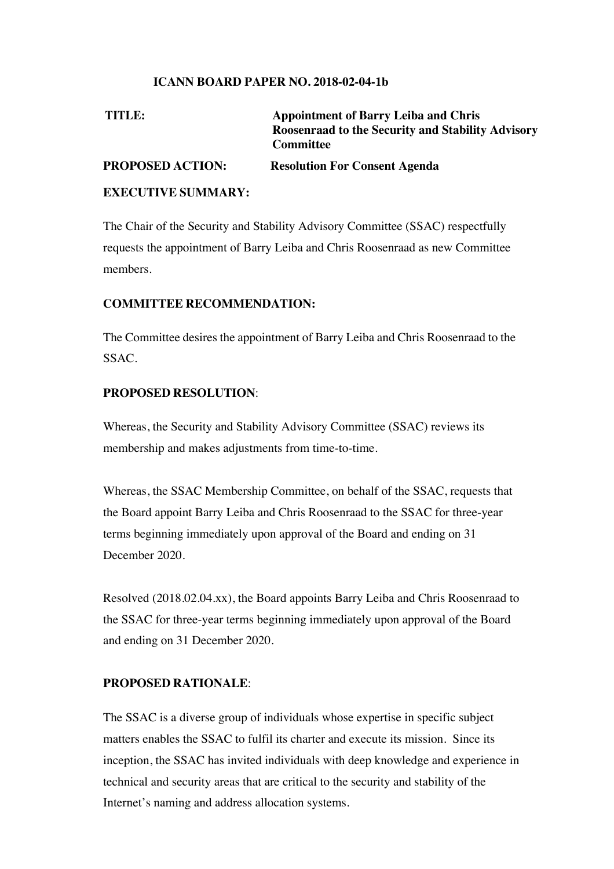#### **ICANN BOARD PAPER NO. 2018-02-04-1b**

| TITLE:                    | <b>Appointment of Barry Leiba and Chris</b><br>Roosenraad to the Security and Stability Advisory<br><b>Committee</b> |
|---------------------------|----------------------------------------------------------------------------------------------------------------------|
| <b>PROPOSED ACTION:</b>   | <b>Resolution For Consent Agenda</b>                                                                                 |
| <b>EXECUTIVE SUMMARY:</b> |                                                                                                                      |

The Chair of the Security and Stability Advisory Committee (SSAC) respectfully requests the appointment of Barry Leiba and Chris Roosenraad as new Committee members.

#### **COMMITTEE RECOMMENDATION:**

The Committee desires the appointment of Barry Leiba and Chris Roosenraad to the SSAC.

#### **PROPOSED RESOLUTION**:

Whereas, the Security and Stability Advisory Committee (SSAC) reviews its membership and makes adjustments from time-to-time.

Whereas, the SSAC Membership Committee, on behalf of the SSAC, requests that the Board appoint Barry Leiba and Chris Roosenraad to the SSAC for three-year terms beginning immediately upon approval of the Board and ending on 31 December 2020.

Resolved (2018.02.04.xx), the Board appoints Barry Leiba and Chris Roosenraad to the SSAC for three-year terms beginning immediately upon approval of the Board and ending on 31 December 2020.

#### **PROPOSED RATIONALE**:

The SSAC is a diverse group of individuals whose expertise in specific subject matters enables the SSAC to fulfil its charter and execute its mission. Since its inception, the SSAC has invited individuals with deep knowledge and experience in technical and security areas that are critical to the security and stability of the Internet's naming and address allocation systems.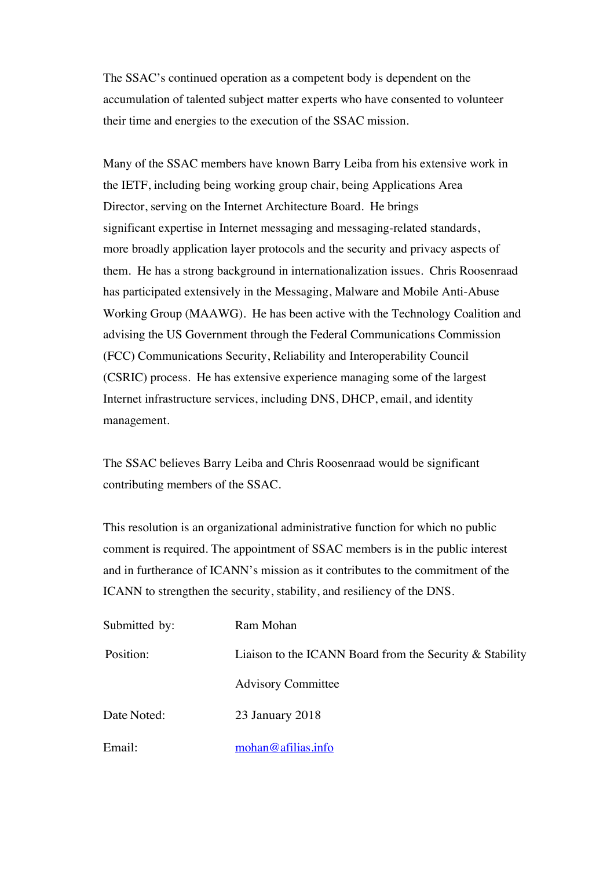The SSAC's continued operation as a competent body is dependent on the accumulation of talented subject matter experts who have consented to volunteer their time and energies to the execution of the SSAC mission.

Many of the SSAC members have known Barry Leiba from his extensive work in the IETF, including being working group chair, being Applications Area Director, serving on the Internet Architecture Board. He brings significant expertise in Internet messaging and messaging-related standards, more broadly application layer protocols and the security and privacy aspects of them. He has a strong background in internationalization issues. Chris Roosenraad has participated extensively in the Messaging, Malware and Mobile Anti-Abuse Working Group (MAAWG). He has been active with the Technology Coalition and advising the US Government through the Federal Communications Commission (FCC) Communications Security, Reliability and Interoperability Council (CSRIC) process. He has extensive experience managing some of the largest Internet infrastructure services, including DNS, DHCP, email, and identity management.

The SSAC believes Barry Leiba and Chris Roosenraad would be significant contributing members of the SSAC.

This resolution is an organizational administrative function for which no public comment is required. The appointment of SSAC members is in the public interest and in furtherance of ICANN's mission as it contributes to the commitment of the ICANN to strengthen the security, stability, and resiliency of the DNS.

| Submitted by: | Ram Mohan                                                   |  |
|---------------|-------------------------------------------------------------|--|
| Position:     | Liaison to the ICANN Board from the Security $\&$ Stability |  |
|               | <b>Advisory Committee</b>                                   |  |
| Date Noted:   | 23 January 2018                                             |  |
| Email:        | mohan@afilias.info                                          |  |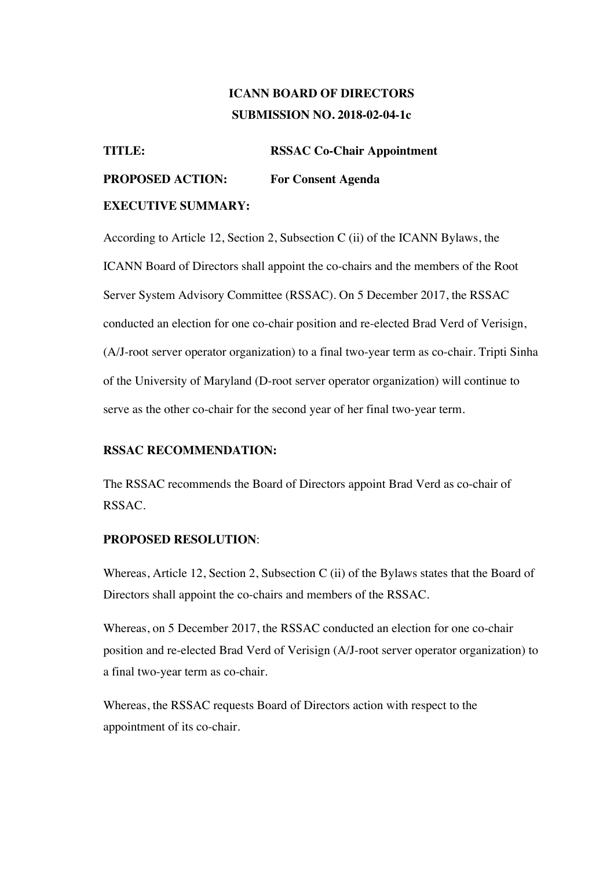## **ICANN BOARD OF DIRECTORS SUBMISSION NO. 2018-02-04-1c**

**TITLE: RSSAC Co-Chair Appointment PROPOSED ACTION: For Consent Agenda EXECUTIVE SUMMARY:**

According to Article 12, Section 2, Subsection C (ii) of the ICANN Bylaws, the ICANN Board of Directors shall appoint the co-chairs and the members of the Root Server System Advisory Committee (RSSAC). On 5 December 2017, the RSSAC conducted an election for one co-chair position and re-elected Brad Verd of Verisign, (A/J-root server operator organization) to a final two-year term as co-chair. Tripti Sinha of the University of Maryland (D-root server operator organization) will continue to serve as the other co-chair for the second year of her final two-year term.

#### **RSSAC RECOMMENDATION:**

The RSSAC recommends the Board of Directors appoint Brad Verd as co-chair of RSSAC.

#### **PROPOSED RESOLUTION**:

Whereas, Article 12, Section 2, Subsection C (ii) of the Bylaws states that the Board of Directors shall appoint the co-chairs and members of the RSSAC.

Whereas, on 5 December 2017, the RSSAC conducted an election for one co-chair position and re-elected Brad Verd of Verisign (A/J-root server operator organization) to a final two-year term as co-chair.

Whereas, the RSSAC requests Board of Directors action with respect to the appointment of its co-chair.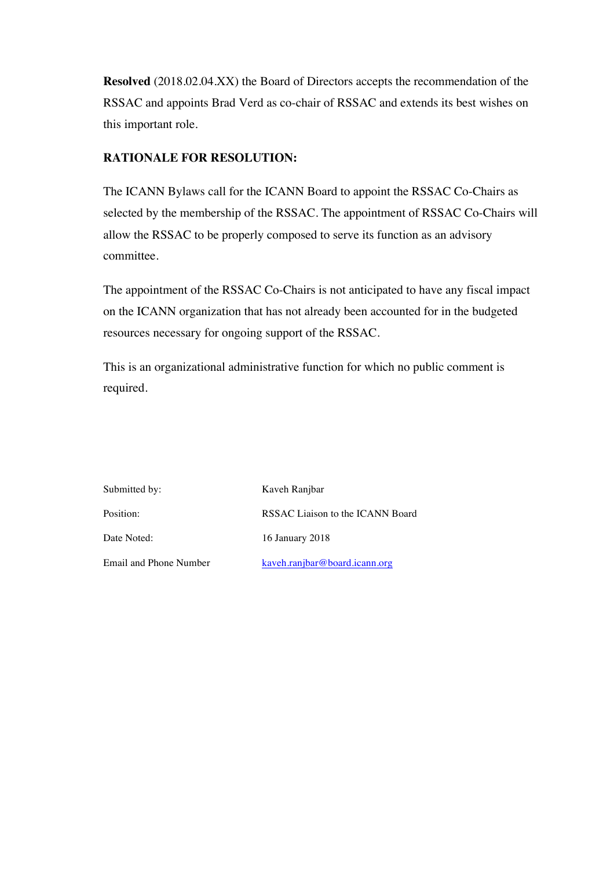**Resolved** (2018.02.04.XX) the Board of Directors accepts the recommendation of the RSSAC and appoints Brad Verd as co-chair of RSSAC and extends its best wishes on this important role.

### **RATIONALE FOR RESOLUTION:**

The ICANN Bylaws call for the ICANN Board to appoint the RSSAC Co-Chairs as selected by the membership of the RSSAC. The appointment of RSSAC Co-Chairs will allow the RSSAC to be properly composed to serve its function as an advisory committee.

The appointment of the RSSAC Co-Chairs is not anticipated to have any fiscal impact on the ICANN organization that has not already been accounted for in the budgeted resources necessary for ongoing support of the RSSAC.

This is an organizational administrative function for which no public comment is required.

| Submitted by:          | Kaveh Ranjbar                    |
|------------------------|----------------------------------|
| Position:              | RSSAC Liaison to the ICANN Board |
| Date Noted:            | 16 January 2018                  |
| Email and Phone Number | kaveh.ranjbar@board.icann.org    |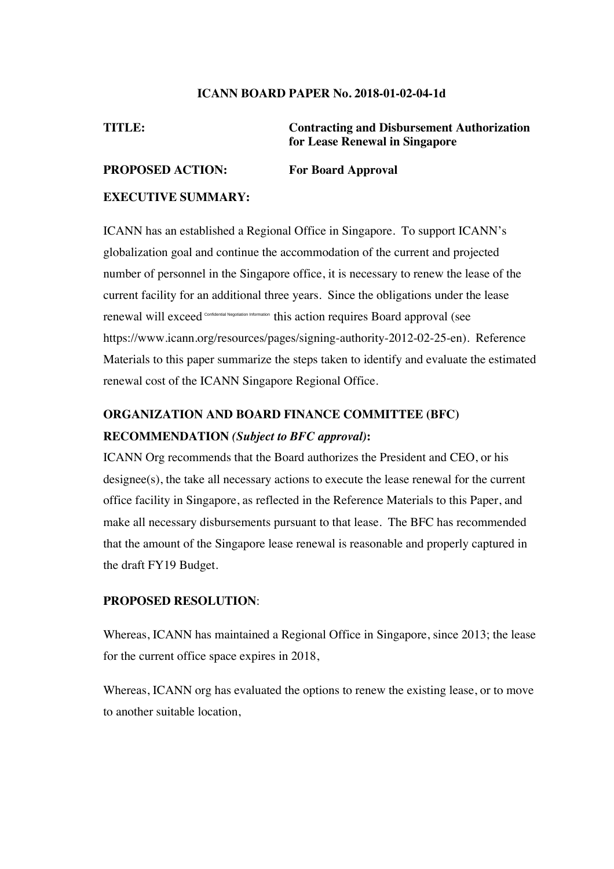#### **ICANN BOARD PAPER No. 2018-01-02-04-1d**

**TITLE: Contracting and Disbursement Authorization for Lease Renewal in Singapore**

#### **PROPOSED ACTION: For Board Approval**

#### **EXECUTIVE SUMMARY:**

ICANN has an established a Regional Office in Singapore. To support ICANN's globalization goal and continue the accommodation of the current and projected number of personnel in the Singapore office, it is necessary to renew the lease of the current facility for an additional three years. Since the obligations under the lease renewal will exceed confidential Negotiation Information this action requires Board approval (see https://www.icann.org/resources/pages/signing-authority-2012-02-25-en). Reference Materials to this paper summarize the steps taken to identify and evaluate the estimated renewal cost of the ICANN Singapore Regional Office.

# **ORGANIZATION AND BOARD FINANCE COMMITTEE (BFC) RECOMMENDATION** *(Subject to BFC approval)***:**

ICANN Org recommends that the Board authorizes the President and CEO, or his designee(s), the take all necessary actions to execute the lease renewal for the current office facility in Singapore, as reflected in the Reference Materials to this Paper, and make all necessary disbursements pursuant to that lease. The BFC has recommended that the amount of the Singapore lease renewal is reasonable and properly captured in the draft FY19 Budget.

#### **PROPOSED RESOLUTION**:

Whereas, ICANN has maintained a Regional Office in Singapore, since 2013; the lease for the current office space expires in 2018,

Whereas, ICANN org has evaluated the options to renew the existing lease, or to move to another suitable location,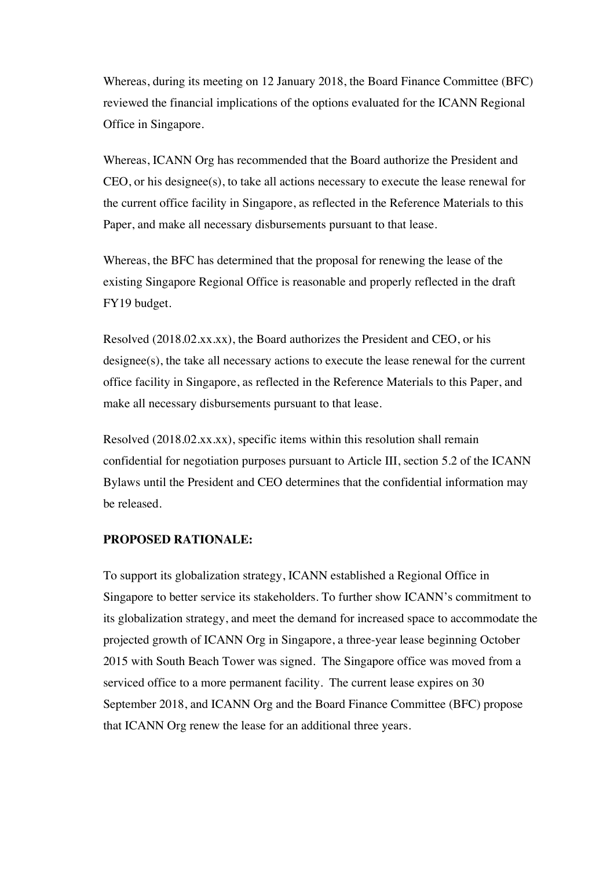Whereas, during its meeting on 12 January 2018, the Board Finance Committee (BFC) reviewed the financial implications of the options evaluated for the ICANN Regional Office in Singapore.

Whereas, ICANN Org has recommended that the Board authorize the President and CEO, or his designee(s), to take all actions necessary to execute the lease renewal for the current office facility in Singapore, as reflected in the Reference Materials to this Paper, and make all necessary disbursements pursuant to that lease.

Whereas, the BFC has determined that the proposal for renewing the lease of the existing Singapore Regional Office is reasonable and properly reflected in the draft FY19 budget.

Resolved (2018.02.xx.xx), the Board authorizes the President and CEO, or his designee(s), the take all necessary actions to execute the lease renewal for the current office facility in Singapore, as reflected in the Reference Materials to this Paper, and make all necessary disbursements pursuant to that lease.

Resolved (2018.02.xx.xx), specific items within this resolution shall remain confidential for negotiation purposes pursuant to Article III, section 5.2 of the ICANN Bylaws until the President and CEO determines that the confidential information may be released.

#### **PROPOSED RATIONALE:**

To support its globalization strategy, ICANN established a Regional Office in Singapore to better service its stakeholders. To further show ICANN's commitment to its globalization strategy, and meet the demand for increased space to accommodate the projected growth of ICANN Org in Singapore, a three-year lease beginning October 2015 with South Beach Tower was signed. The Singapore office was moved from a serviced office to a more permanent facility. The current lease expires on 30 September 2018, and ICANN Org and the Board Finance Committee (BFC) propose that ICANN Org renew the lease for an additional three years.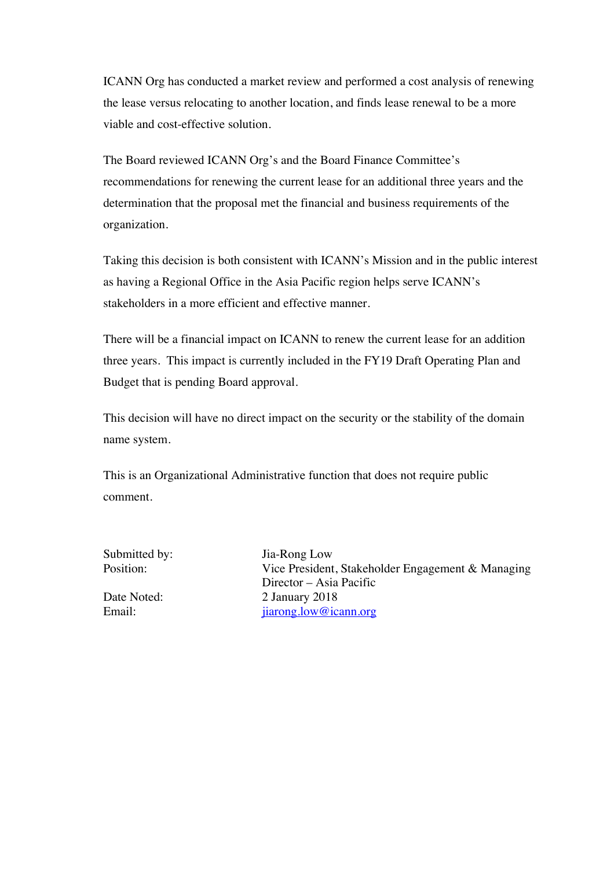ICANN Org has conducted a market review and performed a cost analysis of renewing the lease versus relocating to another location, and finds lease renewal to be a more viable and cost-effective solution.

The Board reviewed ICANN Org's and the Board Finance Committee's recommendations for renewing the current lease for an additional three years and the determination that the proposal met the financial and business requirements of the organization.

Taking this decision is both consistent with ICANN's Mission and in the public interest as having a Regional Office in the Asia Pacific region helps serve ICANN's stakeholders in a more efficient and effective manner.

There will be a financial impact on ICANN to renew the current lease for an addition three years. This impact is currently included in the FY19 Draft Operating Plan and Budget that is pending Board approval.

This decision will have no direct impact on the security or the stability of the domain name system.

This is an Organizational Administrative function that does not require public comment.

Submitted by: Jia-Rong Low

Position: Vice President, Stakeholder Engagement & Managing Director – Asia Pacific Date Noted: 2 January 2018 Email: jiarong.low@icann.org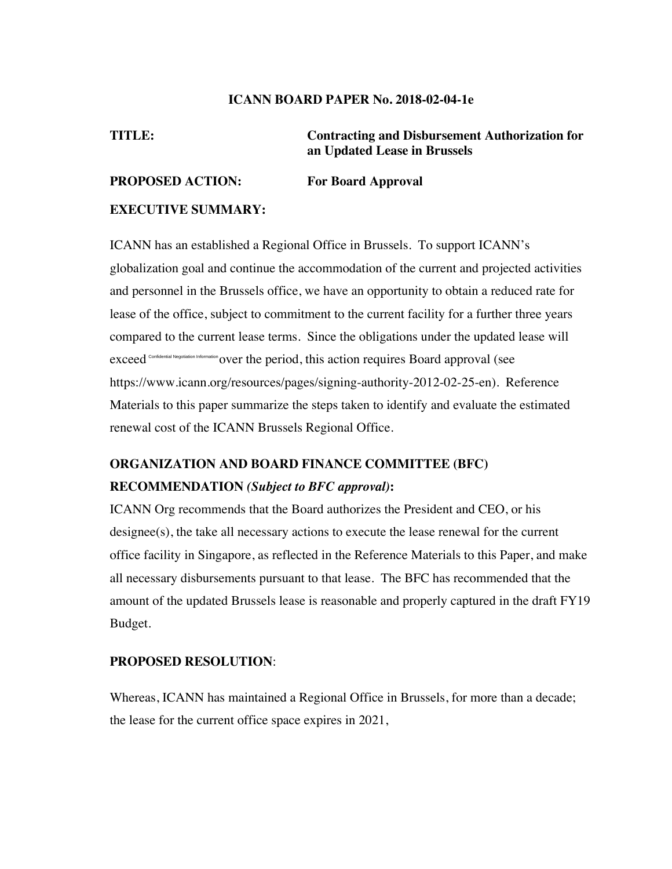#### **ICANN BOARD PAPER No. 2018-02-04-1e**

**TITLE: Contracting and Disbursement Authorization for an Updated Lease in Brussels** 

## **PROPOSED ACTION: For Board Approval**

#### **EXECUTIVE SUMMARY:**

ICANN has an established a Regional Office in Brussels. To support ICANN's globalization goal and continue the accommodation of the current and projected activities and personnel in the Brussels office, we have an opportunity to obtain a reduced rate for lease of the office, subject to commitment to the current facility for a further three years compared to the current lease terms. Since the obligations under the updated lease will exceed<sup> confidential Negotiation Information</sup> over the period, this action requires Board approval (see https://www.icann.org/resources/pages/signing-authority-2012-02-25-en). Reference Materials to this paper summarize the steps taken to identify and evaluate the estimated renewal cost of the ICANN Brussels Regional Office.

# **ORGANIZATION AND BOARD FINANCE COMMITTEE (BFC) RECOMMENDATION** *(Subject to BFC approval)***:**

ICANN Org recommends that the Board authorizes the President and CEO, or his  $designee(s)$ , the take all necessary actions to execute the lease renewal for the current office facility in Singapore, as reflected in the Reference Materials to this Paper, and make all necessary disbursements pursuant to that lease. The BFC has recommended that the amount of the updated Brussels lease is reasonable and properly captured in the draft FY19 Budget.

#### **PROPOSED RESOLUTION**:

Whereas, ICANN has maintained a Regional Office in Brussels, for more than a decade; the lease for the current office space expires in 2021,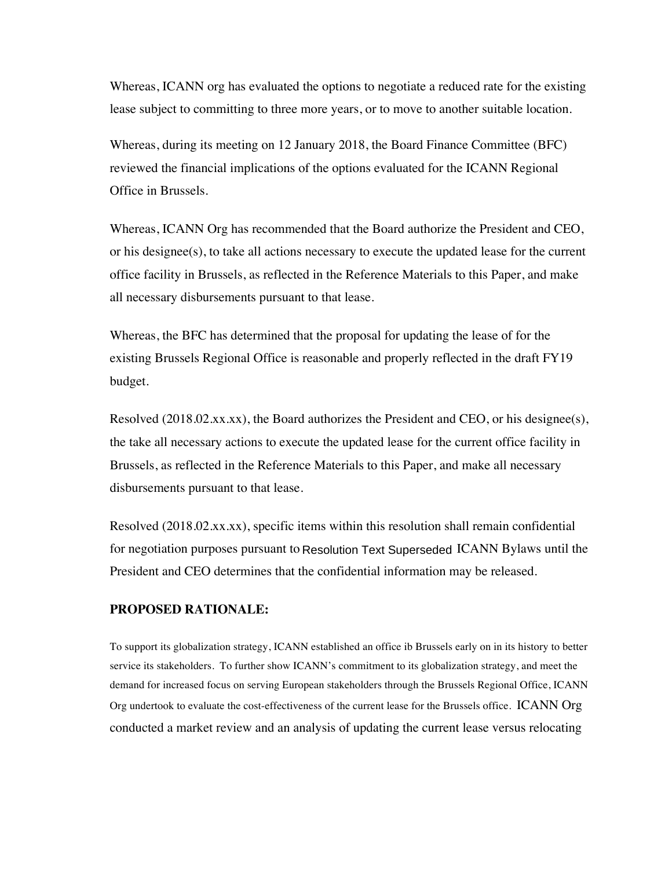Whereas, ICANN org has evaluated the options to negotiate a reduced rate for the existing lease subject to committing to three more years, or to move to another suitable location.

Whereas, during its meeting on 12 January 2018, the Board Finance Committee (BFC) reviewed the financial implications of the options evaluated for the ICANN Regional Office in Brussels.

Whereas, ICANN Org has recommended that the Board authorize the President and CEO, or his designee(s), to take all actions necessary to execute the updated lease for the current office facility in Brussels, as reflected in the Reference Materials to this Paper, and make all necessary disbursements pursuant to that lease.

Whereas, the BFC has determined that the proposal for updating the lease of for the existing Brussels Regional Office is reasonable and properly reflected in the draft FY19 budget.

Resolved  $(2018.02.xx.xx)$ , the Board authorizes the President and CEO, or his designee(s), the take all necessary actions to execute the updated lease for the current office facility in Brussels, as reflected in the Reference Materials to this Paper, and make all necessary disbursements pursuant to that lease.

Resolved (2018.02.xx.xx), specific items within this resolution shall remain confidential for negotiation purposes pursuant to Resolution Text Superseded ICANN Bylaws until the President and CEO determines that the confidential information may be released.

#### **PROPOSED RATIONALE:**

To support its globalization strategy, ICANN established an office ib Brussels early on in its history to better service its stakeholders. To further show ICANN's commitment to its globalization strategy, and meet the demand for increased focus on serving European stakeholders through the Brussels Regional Office, ICANN Org undertook to evaluate the cost-effectiveness of the current lease for the Brussels office. ICANN Org conducted a market review and an analysis of updating the current lease versus relocating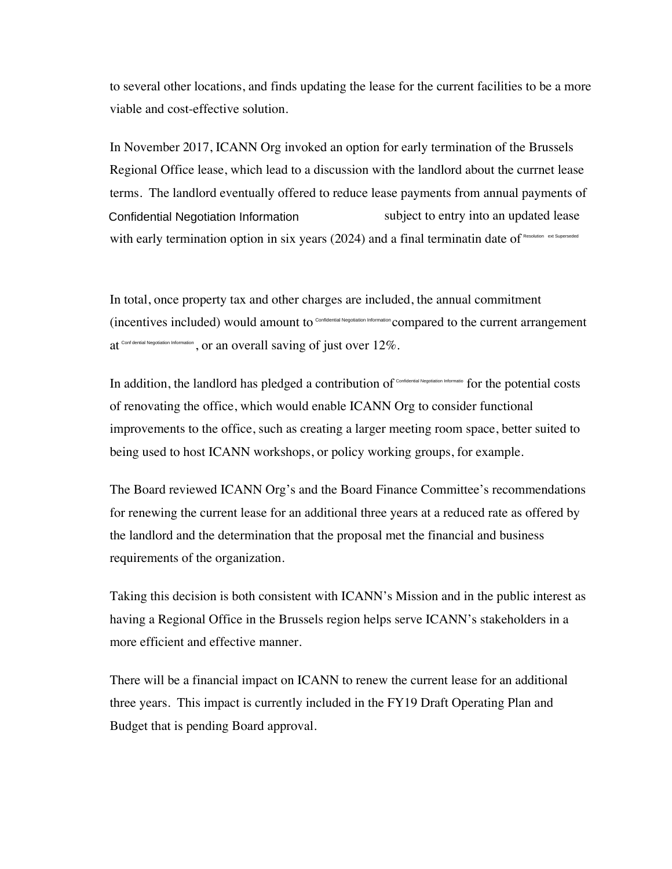to several other locations, and finds updating the lease for the current facilities to be a more viable and cost-effective solution.

In November 2017, ICANN Org invoked an option for early termination of the Brussels Regional Office lease, which lead to a discussion with the landlord about the currnet lease terms. The landlord eventually offered to reduce lease payments from annual payments of subject to entry into an updated lease with early termination option in six years (2024) and a final terminatin date of Resolution ext Superseded Confidential Negotiation Information

In total, once property tax and other charges are included, the annual commitment (incentives included) would amount to Confidential Negotiation Information compared to the current arrangement at confidential Negotiation Information, or an overall saving of just over  $12\%$ .

In addition, the landlord has pledged a contribution of Confidential Negotiation Informatio for the potential costs of renovating the office, which would enable ICANN Org to consider functional improvements to the office, such as creating a larger meeting room space, better suited to being used to host ICANN workshops, or policy working groups, for example.

The Board reviewed ICANN Org's and the Board Finance Committee's recommendations for renewing the current lease for an additional three years at a reduced rate as offered by the landlord and the determination that the proposal met the financial and business requirements of the organization.

Taking this decision is both consistent with ICANN's Mission and in the public interest as having a Regional Office in the Brussels region helps serve ICANN's stakeholders in a more efficient and effective manner.

There will be a financial impact on ICANN to renew the current lease for an additional three years. This impact is currently included in the FY19 Draft Operating Plan and Budget that is pending Board approval.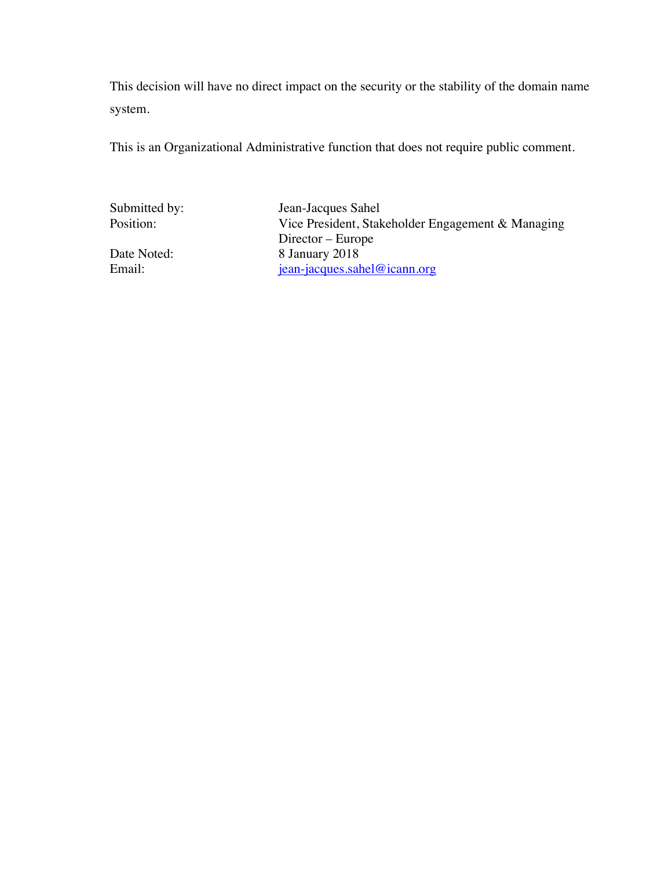This decision will have no direct impact on the security or the stability of the domain name system.

This is an Organizational Administrative function that does not require public comment.

Submitted by: Jean-Jacques Sahel<br>Position: Vice President, Stak Vice President, Stakeholder Engagement & Managing Director – Europe Date Noted: 8 January 2018<br>Email: 6 iean-jacques.sal jean-jacques.sahel@icann.org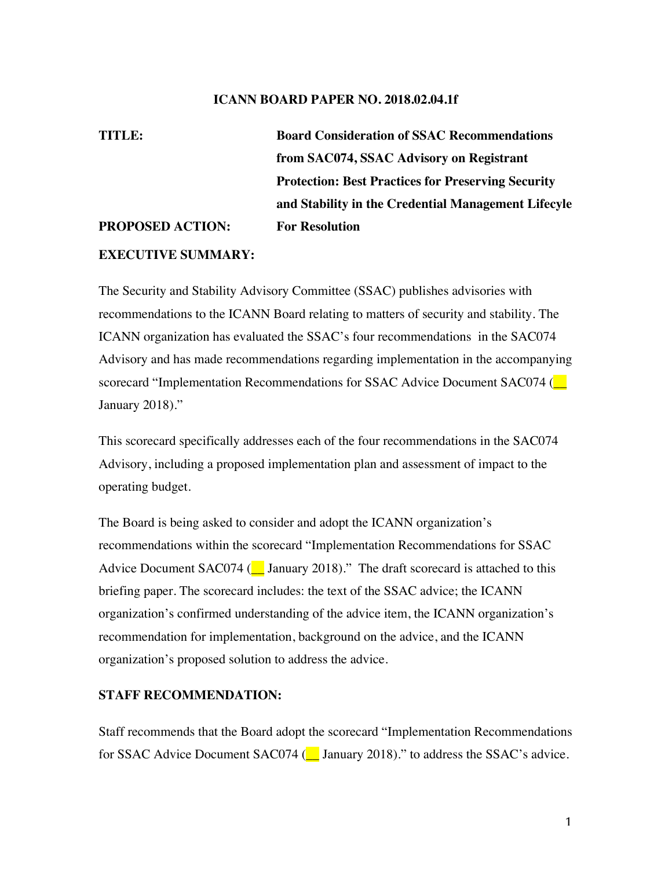#### **ICANN BOARD PAPER NO. 2018.02.04.1f**

# **TITLE: Board Consideration of SSAC Recommendations from SAC074, SSAC Advisory on Registrant Protection: Best Practices for Preserving Security and Stability in the Credential Management Lifecyle PROPOSED ACTION: For Resolution**

#### **EXECUTIVE SUMMARY:**

The Security and Stability Advisory Committee (SSAC) publishes advisories with recommendations to the ICANN Board relating to matters of security and stability. The ICANN organization has evaluated the SSAC's four recommendations in the SAC074 Advisory and has made recommendations regarding implementation in the accompanying scorecard "Implementation Recommendations for SSAC Advice Document SAC074 (\_\_ January 2018)."

This scorecard specifically addresses each of the four recommendations in the SAC074 Advisory, including a proposed implementation plan and assessment of impact to the operating budget.

The Board is being asked to consider and adopt the ICANN organization's recommendations within the scorecard "Implementation Recommendations for SSAC Advice Document SAC074 ( $\Box$  January 2018)." The draft scorecard is attached to this briefing paper. The scorecard includes: the text of the SSAC advice; the ICANN organization's confirmed understanding of the advice item, the ICANN organization's recommendation for implementation, background on the advice, and the ICANN organization's proposed solution to address the advice.

#### **STAFF RECOMMENDATION:**

Staff recommends that the Board adopt the scorecard "Implementation Recommendations for SSAC Advice Document SAC074 (C January 2018)." to address the SSAC's advice.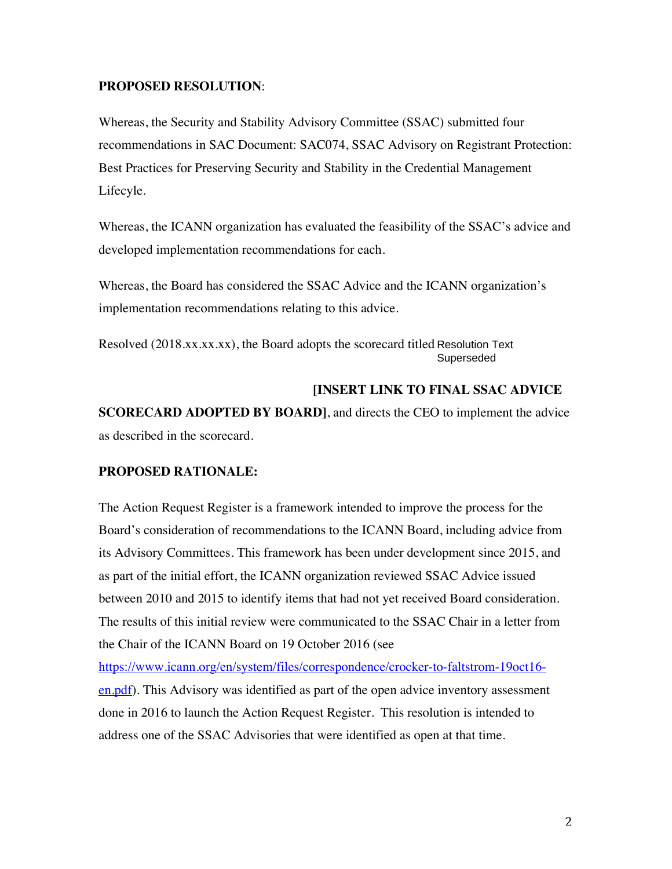#### **PROPOSED RESOLUTION**:

Whereas, the Security and Stability Advisory Committee (SSAC) submitted four recommendations in SAC Document: SAC074, SSAC Advisory on Registrant Protection: Best Practices for Preserving Security and Stability in the Credential Management Lifecyle.

Whereas, the ICANN organization has evaluated the feasibility of the SSAC's advice and developed implementation recommendations for each.

Whereas, the Board has considered the SSAC Advice and the ICANN organization's implementation recommendations relating to this advice.

Resolved (2018.xx.xx.xx), the Board adopts the scorecard titled Resolution Text Superseded

### **[INSERT LINK TO FINAL SSAC ADVICE**

**SCORECARD ADOPTED BY BOARD]**, and directs the CEO to implement the advice as described in the scorecard.

### **PROPOSED RATIONALE:**

The Action Request Register is a framework intended to improve the process for the Board's consideration of recommendations to the ICANN Board, including advice from its Advisory Committees. This framework has been under development since 2015, and as part of the initial effort, the ICANN organization reviewed SSAC Advice issued between 2010 and 2015 to identify items that had not yet received Board consideration. The results of this initial review were communicated to the SSAC Chair in a letter from the Chair of the ICANN Board on 19 October 2016 (see

https://www.icann.org/en/system/files/correspondence/crocker-to-faltstrom-19oct16 en.pdf). This Advisory was identified as part of the open advice inventory assessment done in 2016 to launch the Action Request Register. This resolution is intended to address one of the SSAC Advisories that were identified as open at that time.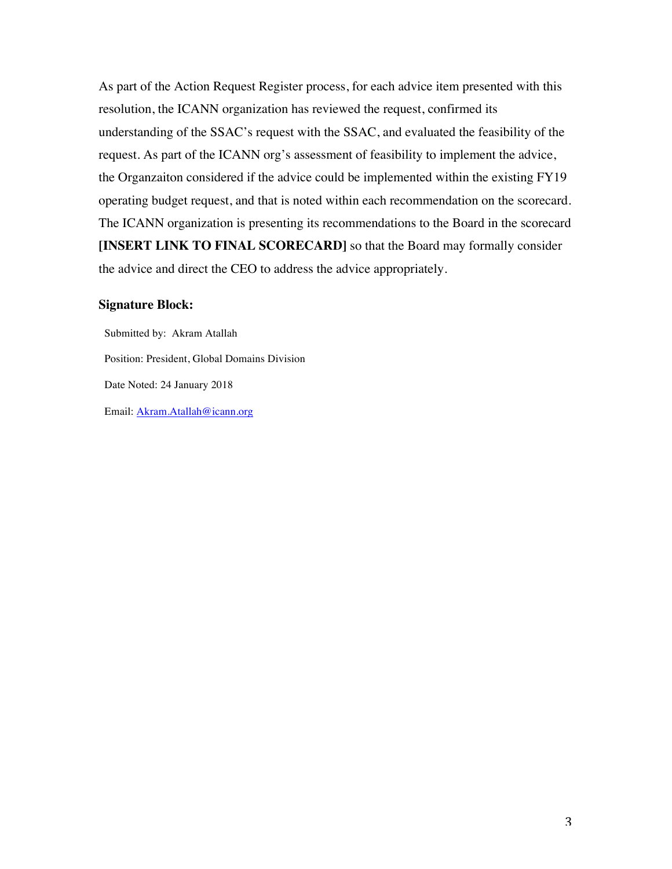As part of the Action Request Register process, for each advice item presented with this resolution, the ICANN organization has reviewed the request, confirmed its understanding of the SSAC's request with the SSAC, and evaluated the feasibility of the request. As part of the ICANN org's assessment of feasibility to implement the advice, the Organzaiton considered if the advice could be implemented within the existing FY19 operating budget request, and that is noted within each recommendation on the scorecard. The ICANN organization is presenting its recommendations to the Board in the scorecard **[INSERT LINK TO FINAL SCORECARD]** so that the Board may formally consider the advice and direct the CEO to address the advice appropriately.

#### **Signature Block:**

Submitted by: Akram Atallah Position: President, Global Domains Division Date Noted: 24 January 2018 Email: Akram.Atallah@icann.org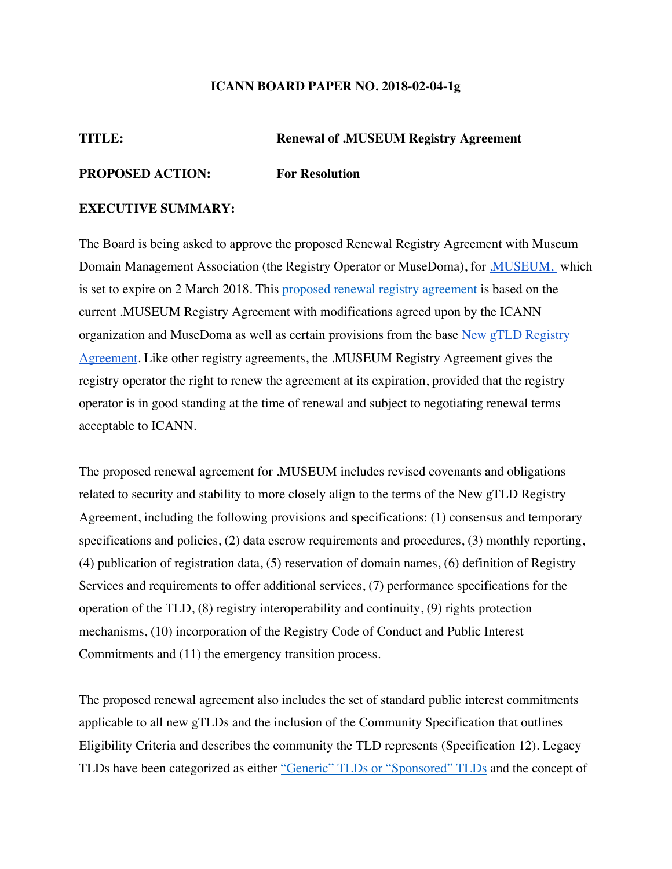#### **ICANN BOARD PAPER NO. 2018-02-04-1g**

#### **TITLE: Renewal of .MUSEUM Registry Agreement**

#### **PROPOSED ACTION: For Resolution**

#### **EXECUTIVE SUMMARY:**

The Board is being asked to approve the proposed Renewal Registry Agreement with Museum Domain Management Association (the Registry Operator or MuseDoma), for *MUSEUM*, which is set to expire on 2 March 2018. This proposed renewal registry agreement is based on the current .MUSEUM Registry Agreement with modifications agreed upon by the ICANN organization and MuseDoma as well as certain provisions from the base New gTLD Registry Agreement. Like other registry agreements, the .MUSEUM Registry Agreement gives the registry operator the right to renew the agreement at its expiration, provided that the registry operator is in good standing at the time of renewal and subject to negotiating renewal terms acceptable to ICANN.

The proposed renewal agreement for .MUSEUM includes revised covenants and obligations related to security and stability to more closely align to the terms of the New gTLD Registry Agreement, including the following provisions and specifications: (1) consensus and temporary specifications and policies, (2) data escrow requirements and procedures, (3) monthly reporting, (4) publication of registration data, (5) reservation of domain names, (6) definition of Registry Services and requirements to offer additional services, (7) performance specifications for the operation of the TLD, (8) registry interoperability and continuity, (9) rights protection mechanisms, (10) incorporation of the Registry Code of Conduct and Public Interest Commitments and (11) the emergency transition process.

The proposed renewal agreement also includes the set of standard public interest commitments applicable to all new gTLDs and the inclusion of the Community Specification that outlines Eligibility Criteria and describes the community the TLD represents (Specification 12). Legacy TLDs have been categorized as either "Generic" TLDs or "Sponsored" TLDs and the concept of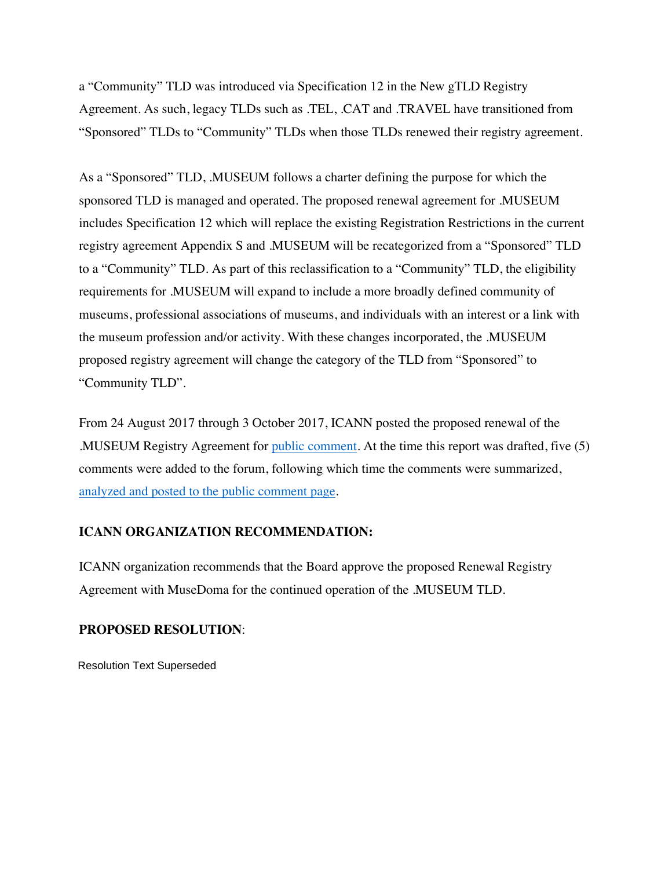a "Community" TLD was introduced via Specification 12 in the New gTLD Registry Agreement. As such, legacy TLDs such as .TEL, .CAT and .TRAVEL have transitioned from "Sponsored" TLDs to "Community" TLDs when those TLDs renewed their registry agreement.

As a "Sponsored" TLD, .MUSEUM follows a charter defining the purpose for which the sponsored TLD is managed and operated. The proposed renewal agreement for .MUSEUM includes Specification 12 which will replace the existing Registration Restrictions in the current registry agreement Appendix S and .MUSEUM will be recategorized from a "Sponsored" TLD to a "Community" TLD. As part of this reclassification to a "Community" TLD, the eligibility requirements for .MUSEUM will expand to include a more broadly defined community of museums, professional associations of museums, and individuals with an interest or a link with the museum profession and/or activity. With these changes incorporated, the .MUSEUM proposed registry agreement will change the category of the TLD from "Sponsored" to "Community TLD".

From 24 August 2017 through 3 October 2017, ICANN posted the proposed renewal of the .MUSEUM Registry Agreement for public comment. At the time this report was drafted, five (5) comments were added to the forum, following which time the comments were summarized, analyzed and posted to the public comment page.

#### **ICANN ORGANIZATION RECOMMENDATION:**

ICANN organization recommends that the Board approve the proposed Renewal Registry Agreement with MuseDoma for the continued operation of the .MUSEUM TLD.

#### **PROPOSED RESOLUTION**:

Resolution Text Superseded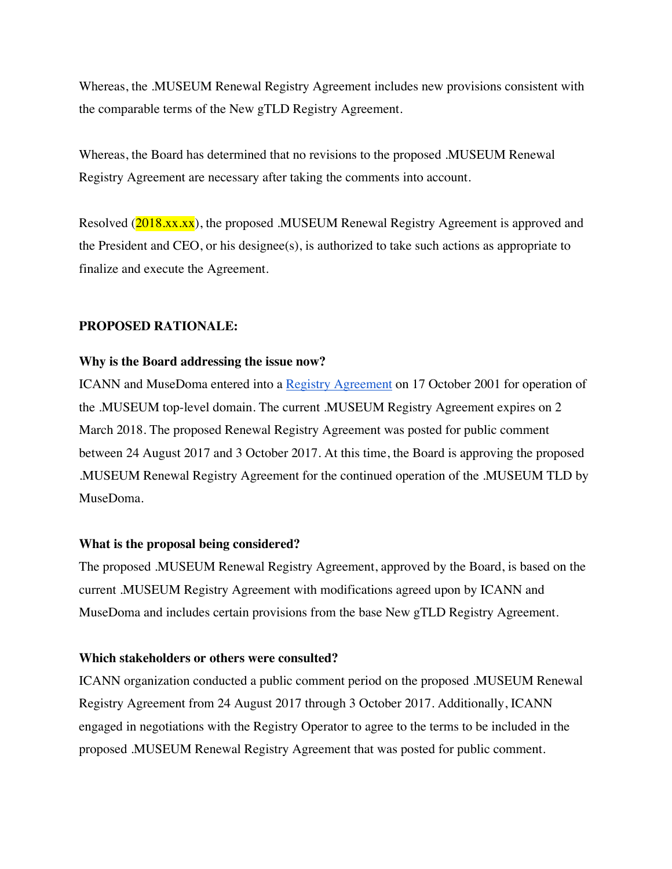Whereas, the .MUSEUM Renewal Registry Agreement includes new provisions consistent with the comparable terms of the New gTLD Registry Agreement.

Whereas, the Board has determined that no revisions to the proposed .MUSEUM Renewal Registry Agreement are necessary after taking the comments into account.

Resolved (2018.xx.xx), the proposed .MUSEUM Renewal Registry Agreement is approved and the President and CEO, or his designee(s), is authorized to take such actions as appropriate to finalize and execute the Agreement.

#### **PROPOSED RATIONALE:**

#### **Why is the Board addressing the issue now?**

ICANN and MuseDoma entered into a Registry Agreement on 17 October 2001 for operation of the .MUSEUM top-level domain. The current .MUSEUM Registry Agreement expires on 2 March 2018. The proposed Renewal Registry Agreement was posted for public comment between 24 August 2017 and 3 October 2017. At this time, the Board is approving the proposed .MUSEUM Renewal Registry Agreement for the continued operation of the .MUSEUM TLD by MuseDoma.

#### **What is the proposal being considered?**

The proposed .MUSEUM Renewal Registry Agreement, approved by the Board, is based on the current .MUSEUM Registry Agreement with modifications agreed upon by ICANN and MuseDoma and includes certain provisions from the base New gTLD Registry Agreement.

#### **Which stakeholders or others were consulted?**

ICANN organization conducted a public comment period on the proposed .MUSEUM Renewal Registry Agreement from 24 August 2017 through 3 October 2017. Additionally, ICANN engaged in negotiations with the Registry Operator to agree to the terms to be included in the proposed .MUSEUM Renewal Registry Agreement that was posted for public comment.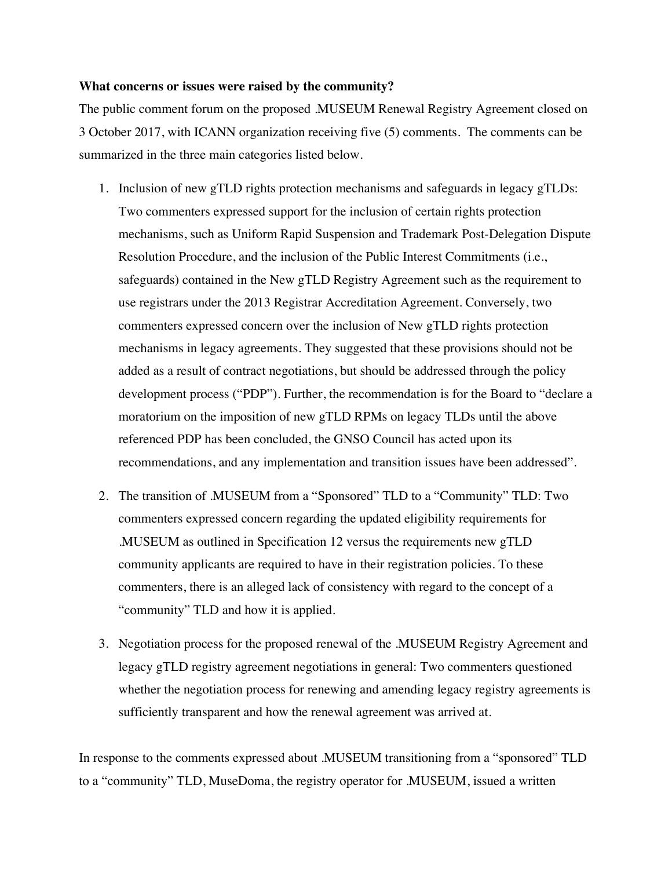#### **What concerns or issues were raised by the community?**

The public comment forum on the proposed .MUSEUM Renewal Registry Agreement closed on 3 October 2017, with ICANN organization receiving five (5) comments. The comments can be summarized in the three main categories listed below.

- 1. Inclusion of new gTLD rights protection mechanisms and safeguards in legacy gTLDs: Two commenters expressed support for the inclusion of certain rights protection mechanisms, such as Uniform Rapid Suspension and Trademark Post-Delegation Dispute Resolution Procedure, and the inclusion of the Public Interest Commitments (i.e., safeguards) contained in the New gTLD Registry Agreement such as the requirement to use registrars under the 2013 Registrar Accreditation Agreement. Conversely, two commenters expressed concern over the inclusion of New gTLD rights protection mechanisms in legacy agreements. They suggested that these provisions should not be added as a result of contract negotiations, but should be addressed through the policy development process ("PDP"). Further, the recommendation is for the Board to "declare a moratorium on the imposition of new gTLD RPMs on legacy TLDs until the above referenced PDP has been concluded, the GNSO Council has acted upon its recommendations, and any implementation and transition issues have been addressed".
- 2. The transition of .MUSEUM from a "Sponsored" TLD to a "Community" TLD: Two commenters expressed concern regarding the updated eligibility requirements for .MUSEUM as outlined in Specification 12 versus the requirements new gTLD community applicants are required to have in their registration policies. To these commenters, there is an alleged lack of consistency with regard to the concept of a "community" TLD and how it is applied.
- 3. Negotiation process for the proposed renewal of the .MUSEUM Registry Agreement and legacy gTLD registry agreement negotiations in general: Two commenters questioned whether the negotiation process for renewing and amending legacy registry agreements is sufficiently transparent and how the renewal agreement was arrived at.

In response to the comments expressed about .MUSEUM transitioning from a "sponsored" TLD to a "community" TLD, MuseDoma, the registry operator for .MUSEUM, issued a written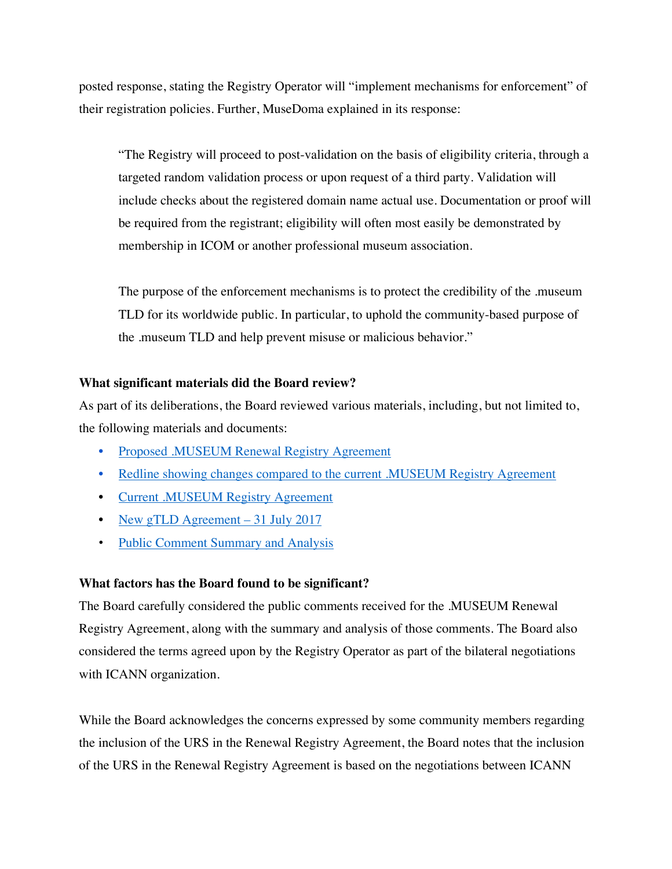posted response, stating the Registry Operator will "implement mechanisms for enforcement" of their registration policies. Further, MuseDoma explained in its response:

"The Registry will proceed to post-validation on the basis of eligibility criteria, through a targeted random validation process or upon request of a third party. Validation will include checks about the registered domain name actual use. Documentation or proof will be required from the registrant; eligibility will often most easily be demonstrated by membership in ICOM or another professional museum association.

The purpose of the enforcement mechanisms is to protect the credibility of the .museum TLD for its worldwide public. In particular, to uphold the community-based purpose of the .museum TLD and help prevent misuse or malicious behavior."

#### **What significant materials did the Board review?**

As part of its deliberations, the Board reviewed various materials, including, but not limited to, the following materials and documents:

- Proposed .MUSEUM Renewal Registry Agreement
- Redline showing changes compared to the current .MUSEUM Registry Agreement
- Current .MUSEUM Registry Agreement
- New gTLD Agreement 31 July 2017
- Public Comment Summary and Analysis

#### **What factors has the Board found to be significant?**

The Board carefully considered the public comments received for the .MUSEUM Renewal Registry Agreement, along with the summary and analysis of those comments. The Board also considered the terms agreed upon by the Registry Operator as part of the bilateral negotiations with ICANN organization.

While the Board acknowledges the concerns expressed by some community members regarding the inclusion of the URS in the Renewal Registry Agreement, the Board notes that the inclusion of the URS in the Renewal Registry Agreement is based on the negotiations between ICANN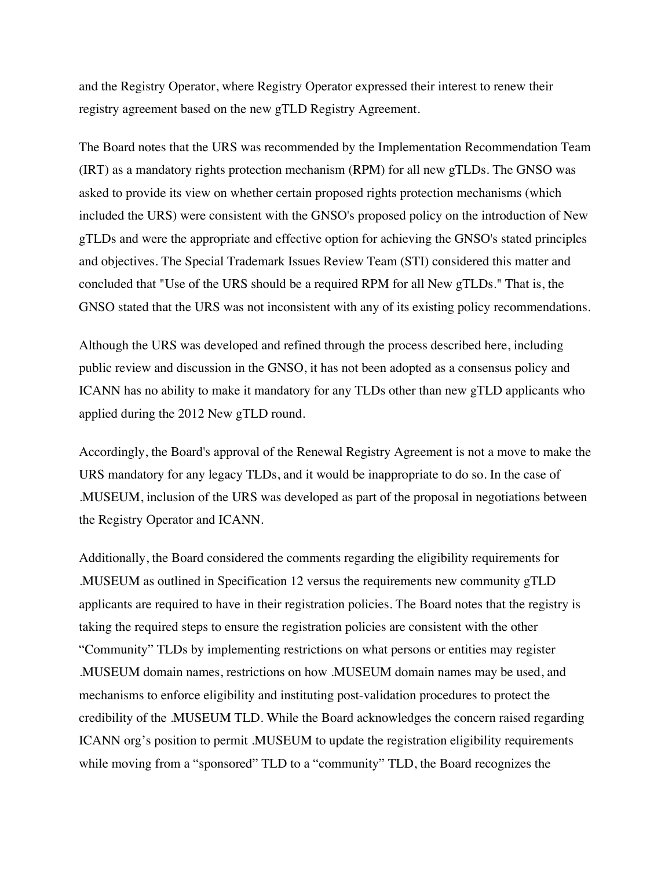and the Registry Operator, where Registry Operator expressed their interest to renew their registry agreement based on the new gTLD Registry Agreement.

The Board notes that the URS was recommended by the Implementation Recommendation Team (IRT) as a mandatory rights protection mechanism (RPM) for all new gTLDs. The GNSO was asked to provide its view on whether certain proposed rights protection mechanisms (which included the URS) were consistent with the GNSO's proposed policy on the introduction of New gTLDs and were the appropriate and effective option for achieving the GNSO's stated principles and objectives. The Special Trademark Issues Review Team (STI) considered this matter and concluded that "Use of the URS should be a required RPM for all New gTLDs." That is, the GNSO stated that the URS was not inconsistent with any of its existing policy recommendations.

Although the URS was developed and refined through the process described here, including public review and discussion in the GNSO, it has not been adopted as a consensus policy and ICANN has no ability to make it mandatory for any TLDs other than new gTLD applicants who applied during the 2012 New gTLD round.

Accordingly, the Board's approval of the Renewal Registry Agreement is not a move to make the URS mandatory for any legacy TLDs, and it would be inappropriate to do so. In the case of .MUSEUM, inclusion of the URS was developed as part of the proposal in negotiations between the Registry Operator and ICANN.

Additionally, the Board considered the comments regarding the eligibility requirements for .MUSEUM as outlined in Specification 12 versus the requirements new community gTLD applicants are required to have in their registration policies. The Board notes that the registry is taking the required steps to ensure the registration policies are consistent with the other "Community" TLDs by implementing restrictions on what persons or entities may register .MUSEUM domain names, restrictions on how .MUSEUM domain names may be used, and mechanisms to enforce eligibility and instituting post-validation procedures to protect the credibility of the .MUSEUM TLD. While the Board acknowledges the concern raised regarding ICANN org's position to permit .MUSEUM to update the registration eligibility requirements while moving from a "sponsored" TLD to a "community" TLD, the Board recognizes the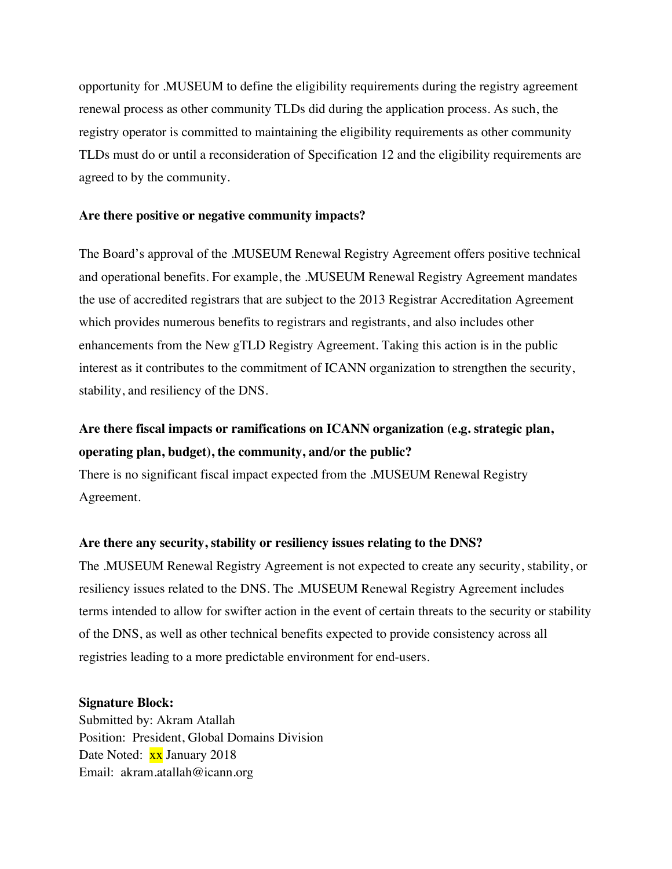opportunity for .MUSEUM to define the eligibility requirements during the registry agreement renewal process as other community TLDs did during the application process. As such, the registry operator is committed to maintaining the eligibility requirements as other community TLDs must do or until a reconsideration of Specification 12 and the eligibility requirements are agreed to by the community.

#### **Are there positive or negative community impacts?**

The Board's approval of the .MUSEUM Renewal Registry Agreement offers positive technical and operational benefits. For example, the .MUSEUM Renewal Registry Agreement mandates the use of accredited registrars that are subject to the 2013 Registrar Accreditation Agreement which provides numerous benefits to registrars and registrants, and also includes other enhancements from the New gTLD Registry Agreement. Taking this action is in the public interest as it contributes to the commitment of ICANN organization to strengthen the security, stability, and resiliency of the DNS.

## **Are there fiscal impacts or ramifications on ICANN organization (e.g. strategic plan, operating plan, budget), the community, and/or the public?**

There is no significant fiscal impact expected from the .MUSEUM Renewal Registry Agreement.

#### **Are there any security, stability or resiliency issues relating to the DNS?**

The .MUSEUM Renewal Registry Agreement is not expected to create any security, stability, or resiliency issues related to the DNS. The .MUSEUM Renewal Registry Agreement includes terms intended to allow for swifter action in the event of certain threats to the security or stability of the DNS, as well as other technical benefits expected to provide consistency across all registries leading to a more predictable environment for end-users.

#### **Signature Block:**

Submitted by: Akram Atallah Position: President, Global Domains Division Date Noted: xx January 2018 Email: akram.atallah@icann.org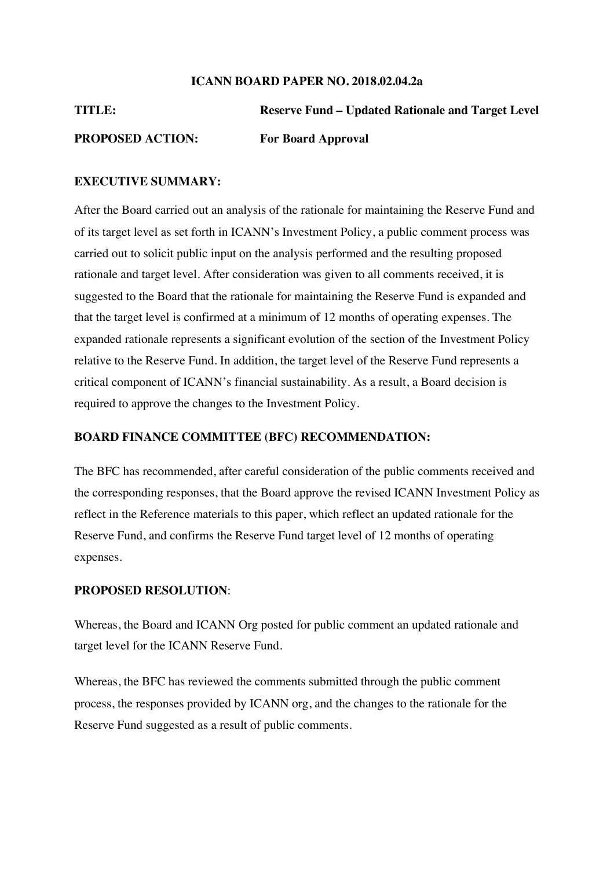#### **ICANN BOARD PAPER NO. 2018.02.04.2a**

**TITLE: Reserve Fund – Updated Rationale and Target Level PROPOSED ACTION: For Board Approval**

#### **EXECUTIVE SUMMARY:**

After the Board carried out an analysis of the rationale for maintaining the Reserve Fund and of its target level as set forth in ICANN's Investment Policy, a public comment process was carried out to solicit public input on the analysis performed and the resulting proposed rationale and target level. After consideration was given to all comments received, it is suggested to the Board that the rationale for maintaining the Reserve Fund is expanded and that the target level is confirmed at a minimum of 12 months of operating expenses. The expanded rationale represents a significant evolution of the section of the Investment Policy relative to the Reserve Fund. In addition, the target level of the Reserve Fund represents a critical component of ICANN's financial sustainability. As a result, a Board decision is required to approve the changes to the Investment Policy.

#### **BOARD FINANCE COMMITTEE (BFC) RECOMMENDATION:**

The BFC has recommended, after careful consideration of the public comments received and the corresponding responses, that the Board approve the revised ICANN Investment Policy as reflect in the Reference materials to this paper, which reflect an updated rationale for the Reserve Fund, and confirms the Reserve Fund target level of 12 months of operating expenses.

#### **PROPOSED RESOLUTION**:

Whereas, the Board and ICANN Org posted for public comment an updated rationale and target level for the ICANN Reserve Fund.

Whereas, the BFC has reviewed the comments submitted through the public comment process, the responses provided by ICANN org, and the changes to the rationale for the Reserve Fund suggested as a result of public comments.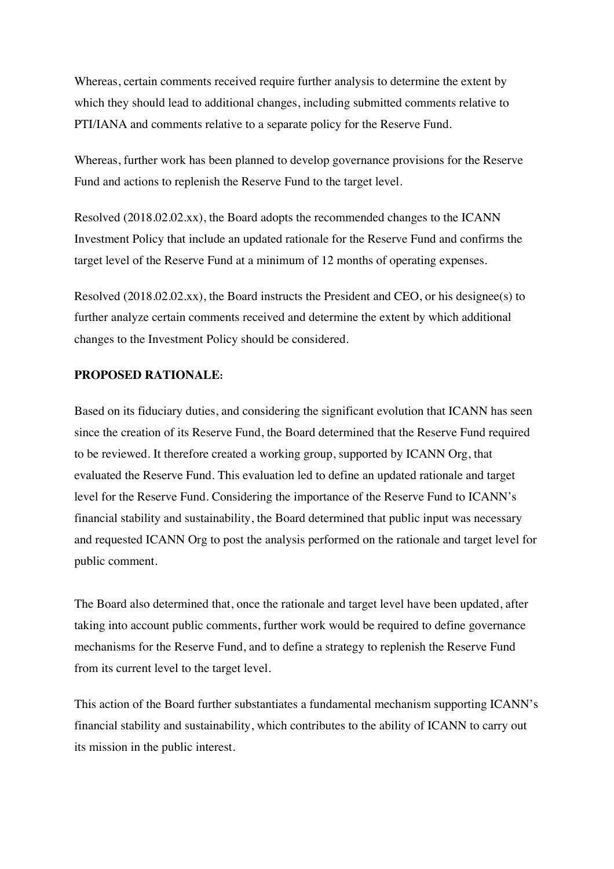Whereas, certain comments received require further analysis to determine the extent by which they should lead to additional changes, including submitted comments relative to PTI/IANA and comments relative to a separate policy for the Reserve Fund.

Whereas, further work has been planned to develop governance provisions for the Reserve Fund and actions to replenish the Reserve Fund to the target level.

Resolved (2018.02.02.xx), the Board adopts the recommended changes to the ICANN Investment Policy that include an updated rationale for the Reserve Fund and confirms the target level of the Reserve Fund at a minimum of 12 months of operating expenses.

Resolved (2018.02.02.xx), the Board instructs the President and CEO, or his designee(s) to further analyze certain comments received and determine the extent by which additional changes to the Investment Policy should be considered.

#### **PROPOSED RATIONALE:**

Based on its fiduciary duties, and considering the significant evolution that ICANN has seen since the creation of its Reserve Fund, the Board determined that the Reserve Fund required to be reviewed. It therefore created a working group, supported by ICANN Org, that evaluated the Reserve Fund. This evaluation led to define an updated rationale and target level for the Reserve Fund. Considering the importance of the Reserve Fund to ICANN's financial stability and sustainability, the Board determined that public input was necessary and requested ICANN Org to post the analysis performed on the rationale and target level for public comment.

The Board also determined that, once the rationale and target level have been updated, after taking into account public comments, further work would be required to define governance mechanisms for the Reserve Fund, and to define a strategy to replenish the Reserve Fund from its current level to the target level.

This action of the Board further substantiates a fundamental mechanism supporting ICANN's financial stability and sustainability, which contributes to the ability of ICANN to carry out its mission in the public interest.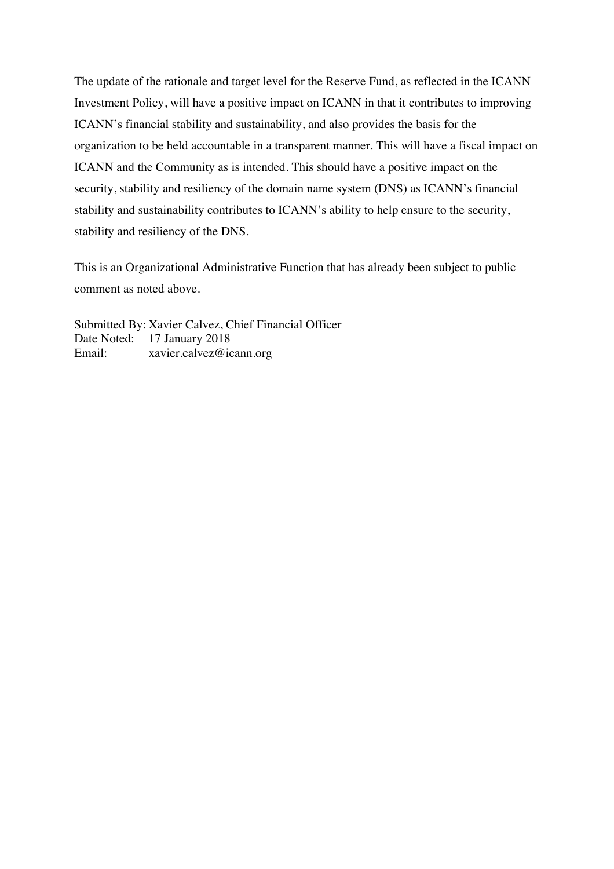The update of the rationale and target level for the Reserve Fund, as reflected in the ICANN Investment Policy, will have a positive impact on ICANN in that it contributes to improving ICANN's financial stability and sustainability, and also provides the basis for the organization to be held accountable in a transparent manner. This will have a fiscal impact on ICANN and the Community as is intended. This should have a positive impact on the security, stability and resiliency of the domain name system (DNS) as ICANN's financial stability and sustainability contributes to ICANN's ability to help ensure to the security, stability and resiliency of the DNS.

This is an Organizational Administrative Function that has already been subject to public comment as noted above.

Submitted By: Xavier Calvez, Chief Financial Officer Date Noted: 17 January 2018 Email: xavier.calvez@icann.org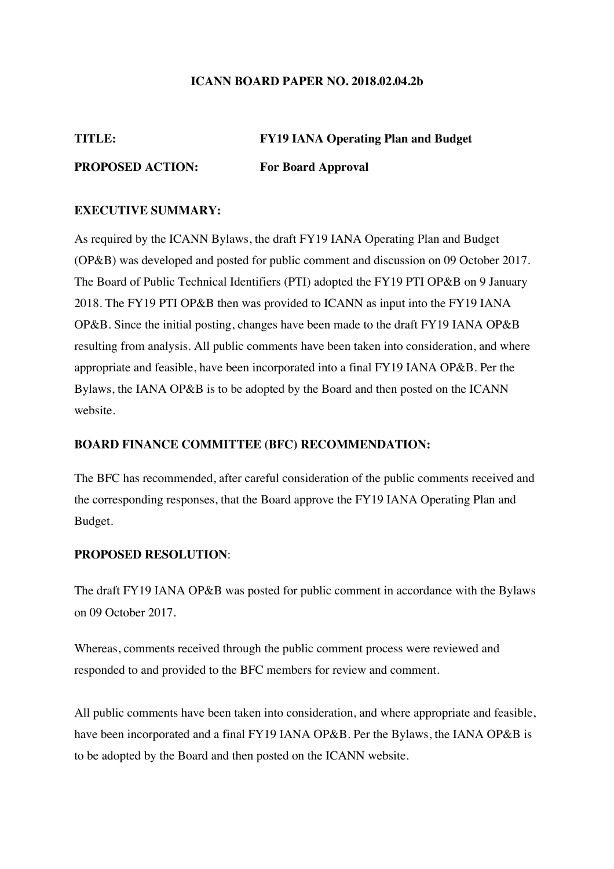#### **ICANN BOARD PAPER NO. 2018.02.04.2b**

#### **TITLE: FY19 IANA Operating Plan and Budget**

#### **PROPOSED ACTION: For Board Approval**

#### **EXECUTIVE SUMMARY:**

As required by the ICANN Bylaws, the draft FY19 IANA Operating Plan and Budget (OP&B) was developed and posted for public comment and discussion on 09 October 2017. The Board of Public Technical Identifiers (PTI) adopted the FY19 PTI OP&B on 9 January 2018. The FY19 PTI OP&B then was provided to ICANN as input into the FY19 IANA OP&B. Since the initial posting, changes have been made to the draft FY19 IANA OP&B resulting from analysis. All public comments have been taken into consideration, and where appropriate and feasible, have been incorporated into a final FY19 IANA OP&B. Per the Bylaws, the IANA OP&B is to be adopted by the Board and then posted on the ICANN website.

#### **BOARD FINANCE COMMITTEE (BFC) RECOMMENDATION:**

The BFC has recommended, after careful consideration of the public comments received and the corresponding responses, that the Board approve the FY19 IANA Operating Plan and Budget.

#### **PROPOSED RESOLUTION**:

The draft FY19 IANA OP&B was posted for public comment in accordance with the Bylaws on 09 October 2017.

Whereas, comments received through the public comment process were reviewed and responded to and provided to the BFC members for review and comment.

All public comments have been taken into consideration, and where appropriate and feasible, have been incorporated and a final FY19 IANA OP&B. Per the Bylaws, the IANA OP&B is to be adopted by the Board and then posted on the ICANN website.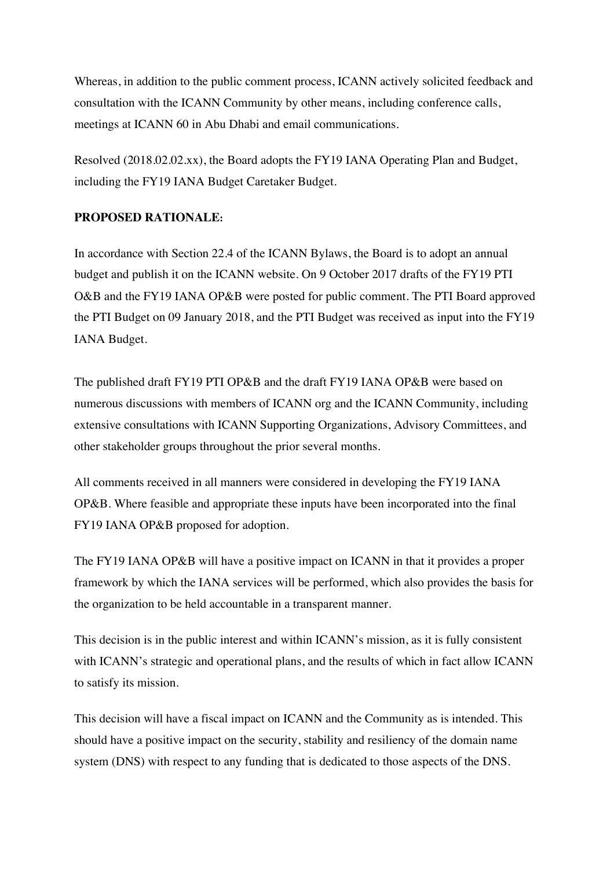Whereas, in addition to the public comment process, ICANN actively solicited feedback and consultation with the ICANN Community by other means, including conference calls, meetings at ICANN 60 in Abu Dhabi and email communications.

Resolved (2018.02.02.xx), the Board adopts the FY19 IANA Operating Plan and Budget, including the FY19 IANA Budget Caretaker Budget.

### **PROPOSED RATIONALE:**

In accordance with Section 22.4 of the ICANN Bylaws, the Board is to adopt an annual budget and publish it on the ICANN website. On 9 October 2017 drafts of the FY19 PTI O&B and the FY19 IANA OP&B were posted for public comment. The PTI Board approved the PTI Budget on 09 January 2018, and the PTI Budget was received as input into the FY19 IANA Budget.

The published draft FY19 PTI OP&B and the draft FY19 IANA OP&B were based on numerous discussions with members of ICANN org and the ICANN Community, including extensive consultations with ICANN Supporting Organizations, Advisory Committees, and other stakeholder groups throughout the prior several months.

All comments received in all manners were considered in developing the FY19 IANA OP&B. Where feasible and appropriate these inputs have been incorporated into the final FY19 IANA OP&B proposed for adoption.

The FY19 IANA OP&B will have a positive impact on ICANN in that it provides a proper framework by which the IANA services will be performed, which also provides the basis for the organization to be held accountable in a transparent manner.

This decision is in the public interest and within ICANN's mission, as it is fully consistent with ICANN's strategic and operational plans, and the results of which in fact allow ICANN to satisfy its mission.

This decision will have a fiscal impact on ICANN and the Community as is intended. This should have a positive impact on the security, stability and resiliency of the domain name system (DNS) with respect to any funding that is dedicated to those aspects of the DNS.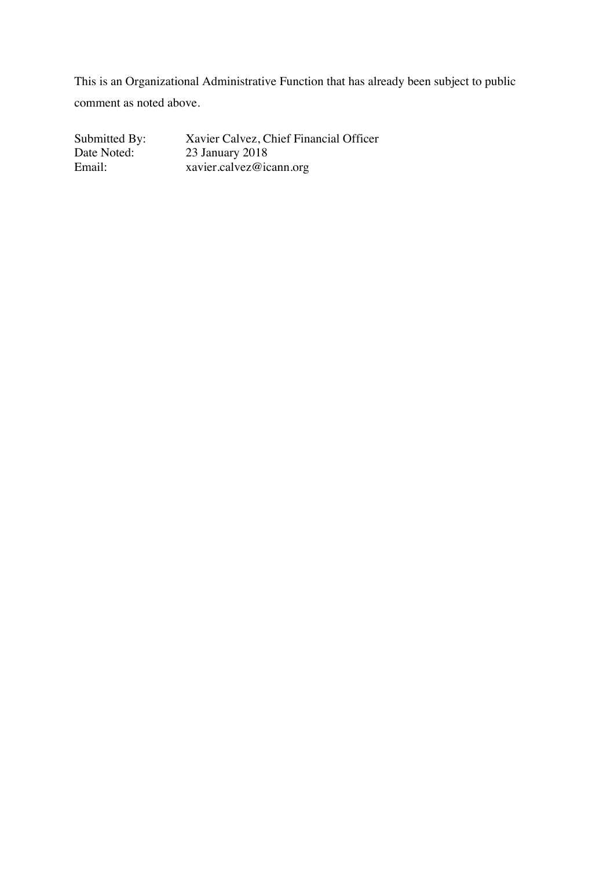This is an Organizational Administrative Function that has already been subject to public comment as noted above.

Submitted By: Xavier Calvez, Chief Financial Officer<br>Date Noted: 23 January 2018 Date Noted: 23 January 2018<br>Email: xavier.calvez@ic Email: xavier.calvez@icann.org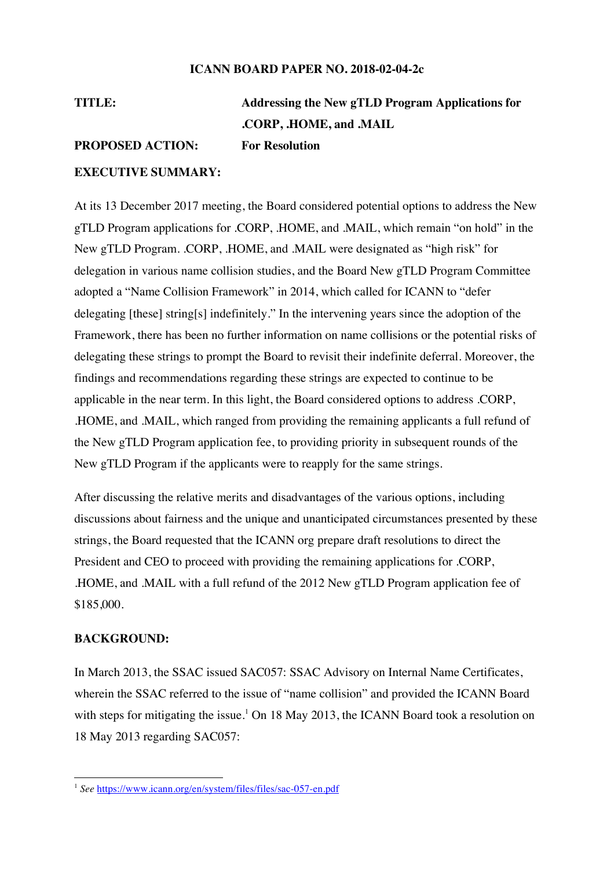#### **ICANN BOARD PAPER NO. 2018-02-04-2c**

# **TITLE: Addressing the New gTLD Program Applications for .CORP, .HOME, and .MAIL PROPOSED ACTION: For Resolution**

#### **EXECUTIVE SUMMARY:**

At its 13 December 2017 meeting, the Board considered potential options to address the New gTLD Program applications for .CORP, .HOME, and .MAIL, which remain "on hold" in the New gTLD Program. .CORP, .HOME, and .MAIL were designated as "high risk" for delegation in various name collision studies, and the Board New gTLD Program Committee adopted a "Name Collision Framework" in 2014, which called for ICANN to "defer delegating [these] string[s] indefinitely." In the intervening years since the adoption of the Framework, there has been no further information on name collisions or the potential risks of delegating these strings to prompt the Board to revisit their indefinite deferral. Moreover, the findings and recommendations regarding these strings are expected to continue to be applicable in the near term. In this light, the Board considered options to address .CORP, .HOME, and .MAIL, which ranged from providing the remaining applicants a full refund of the New gTLD Program application fee, to providing priority in subsequent rounds of the New gTLD Program if the applicants were to reapply for the same strings.

After discussing the relative merits and disadvantages of the various options, including discussions about fairness and the unique and unanticipated circumstances presented by these strings, the Board requested that the ICANN org prepare draft resolutions to direct the President and CEO to proceed with providing the remaining applications for .CORP, .HOME, and .MAIL with a full refund of the 2012 New gTLD Program application fee of \$185,000.

#### **BACKGROUND:**

In March 2013, the SSAC issued SAC057: SSAC Advisory on Internal Name Certificates, wherein the SSAC referred to the issue of "name collision" and provided the ICANN Board with steps for mitigating the issue.<sup>1</sup> On 18 May 2013, the ICANN Board took a resolution on 18 May 2013 regarding SAC057:

 <sup>1</sup> *See* https://www.icann.org/en/system/files/files/sac-057-en.pdf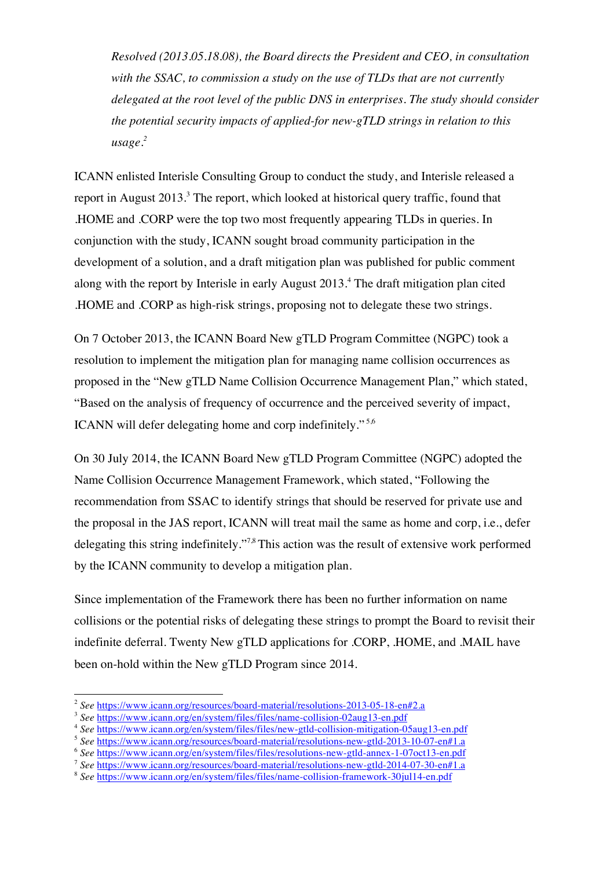*Resolved (2013.05.18.08), the Board directs the President and CEO, in consultation with the SSAC, to commission a study on the use of TLDs that are not currently delegated at the root level of the public DNS in enterprises. The study should consider the potential security impacts of applied-for new-gTLD strings in relation to this usage.2*

ICANN enlisted Interisle Consulting Group to conduct the study, and Interisle released a report in August 2013.<sup>3</sup> The report, which looked at historical query traffic, found that .HOME and .CORP were the top two most frequently appearing TLDs in queries. In conjunction with the study, ICANN sought broad community participation in the development of a solution, and a draft mitigation plan was published for public comment along with the report by Interisle in early August 2013.<sup>4</sup> The draft mitigation plan cited .HOME and .CORP as high-risk strings, proposing not to delegate these two strings.

On 7 October 2013, the ICANN Board New gTLD Program Committee (NGPC) took a resolution to implement the mitigation plan for managing name collision occurrences as proposed in the "New gTLD Name Collision Occurrence Management Plan," which stated, "Based on the analysis of frequency of occurrence and the perceived severity of impact, ICANN will defer delegating home and corp indefinitely." 5,6

On 30 July 2014, the ICANN Board New gTLD Program Committee (NGPC) adopted the Name Collision Occurrence Management Framework, which stated, "Following the recommendation from SSAC to identify strings that should be reserved for private use and the proposal in the JAS report, ICANN will treat mail the same as home and corp, i.e., defer delegating this string indefinitely."7,8 This action was the result of extensive work performed by the ICANN community to develop a mitigation plan.

Since implementation of the Framework there has been no further information on name collisions or the potential risks of delegating these strings to prompt the Board to revisit their indefinite deferral. Twenty New gTLD applications for .CORP, .HOME, and .MAIL have been on-hold within the New gTLD Program since 2014.

 <sup>2</sup> *See* https://www.icann.org/resources/board-material/resolutions-2013-05-18-en#2.a

<sup>&</sup>lt;sup>3</sup> See https://www.icann.org/en/system/files/files/name-collision-02aug13-en.pdf

<sup>4</sup> *See* https://www.icann.org/en/system/files/files/new-gtld-collision-mitigation-05aug13-en.pdf

<sup>5</sup> *See* https://www.icann.org/resources/board-material/resolutions-new-gtld-2013-10-07-en#1.a

<sup>6</sup> *See* https://www.icann.org/en/system/files/files/resolutions-new-gtld-annex-1-07oct13-en.pdf

<sup>7</sup> *See* https://www.icann.org/resources/board-material/resolutions-new-gtld-2014-07-30-en#1.a

<sup>8</sup> *See* https://www.icann.org/en/system/files/files/name-collision-framework-30jul14-en.pdf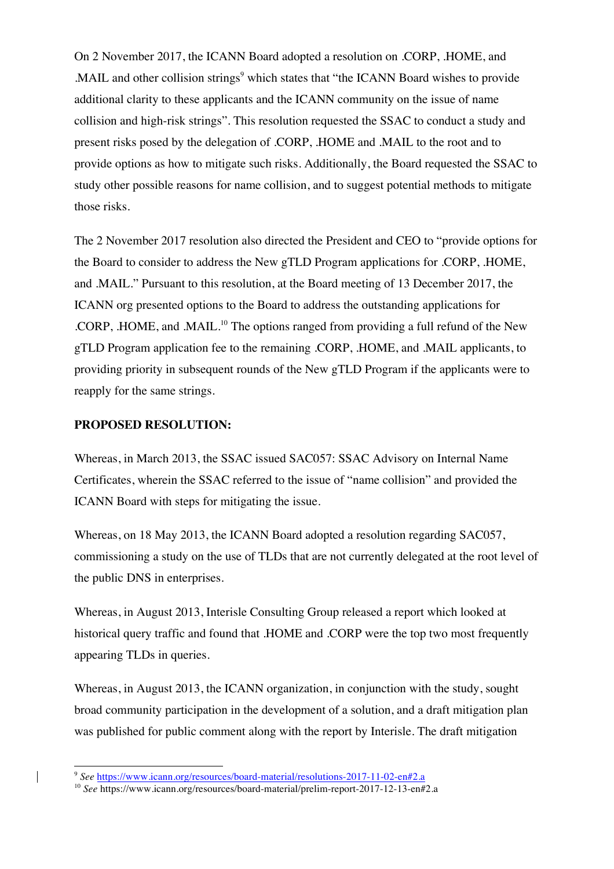On 2 November 2017, the ICANN Board adopted a resolution on .CORP, .HOME, and .MAIL and other collision strings<sup>9</sup> which states that "the ICANN Board wishes to provide" additional clarity to these applicants and the ICANN community on the issue of name collision and high-risk strings". This resolution requested the SSAC to conduct a study and present risks posed by the delegation of .CORP, .HOME and .MAIL to the root and to provide options as how to mitigate such risks. Additionally, the Board requested the SSAC to study other possible reasons for name collision, and to suggest potential methods to mitigate those risks.

The 2 November 2017 resolution also directed the President and CEO to "provide options for the Board to consider to address the New gTLD Program applications for .CORP, .HOME, and .MAIL." Pursuant to this resolution, at the Board meeting of 13 December 2017, the ICANN org presented options to the Board to address the outstanding applications for .CORP, .HOME, and .MAIL.10 The options ranged from providing a full refund of the New gTLD Program application fee to the remaining .CORP, .HOME, and .MAIL applicants, to providing priority in subsequent rounds of the New gTLD Program if the applicants were to reapply for the same strings.

#### **PROPOSED RESOLUTION:**

Whereas, in March 2013, the SSAC issued SAC057: SSAC Advisory on Internal Name Certificates, wherein the SSAC referred to the issue of "name collision" and provided the ICANN Board with steps for mitigating the issue.

Whereas, on 18 May 2013, the ICANN Board adopted a resolution regarding SAC057, commissioning a study on the use of TLDs that are not currently delegated at the root level of the public DNS in enterprises.

Whereas, in August 2013, Interisle Consulting Group released a report which looked at historical query traffic and found that .HOME and .CORP were the top two most frequently appearing TLDs in queries.

Whereas, in August 2013, the ICANN organization, in conjunction with the study, sought broad community participation in the development of a solution, and a draft mitigation plan was published for public comment along with the report by Interisle. The draft mitigation

 <sup>9</sup> *See* https://www.icann.org/resources/board-material/resolutions-2017-11-02-en#2.a

<sup>&</sup>lt;sup>10</sup> See https://www.icann.org/resources/board-material/prelim-report-2017-12-13-en#2.a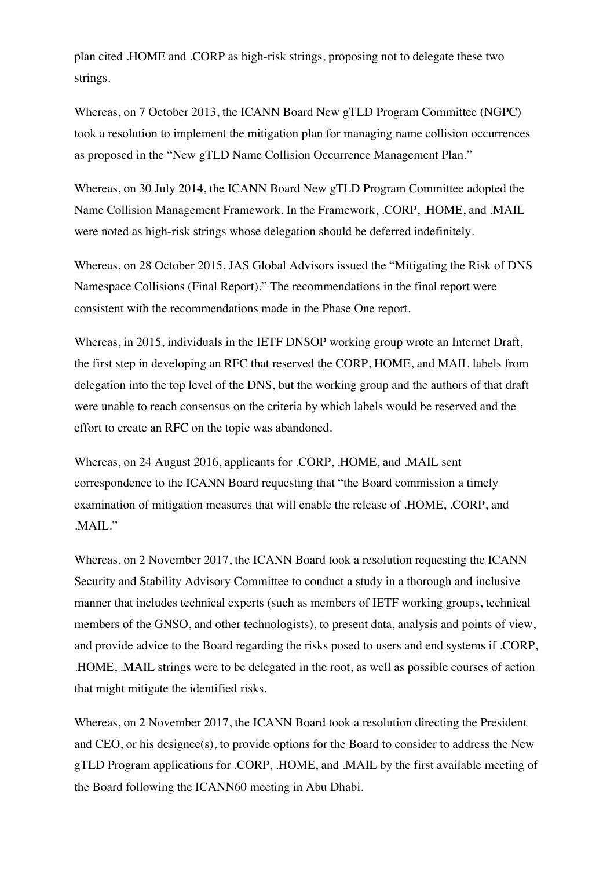plan cited .HOME and .CORP as high-risk strings, proposing not to delegate these two strings.

Whereas, on 7 October 2013, the ICANN Board New gTLD Program Committee (NGPC) took a resolution to implement the mitigation plan for managing name collision occurrences as proposed in the "New gTLD Name Collision Occurrence Management Plan."

Whereas, on 30 July 2014, the ICANN Board New gTLD Program Committee adopted the Name Collision Management Framework. In the Framework, .CORP, .HOME, and .MAIL were noted as high-risk strings whose delegation should be deferred indefinitely.

Whereas, on 28 October 2015, JAS Global Advisors issued the "Mitigating the Risk of DNS Namespace Collisions (Final Report)." The recommendations in the final report were consistent with the recommendations made in the Phase One report.

Whereas, in 2015, individuals in the IETF DNSOP working group wrote an Internet Draft, the first step in developing an RFC that reserved the CORP, HOME, and MAIL labels from delegation into the top level of the DNS, but the working group and the authors of that draft were unable to reach consensus on the criteria by which labels would be reserved and the effort to create an RFC on the topic was abandoned.

Whereas, on 24 August 2016, applicants for .CORP, .HOME, and .MAIL sent correspondence to the ICANN Board requesting that "the Board commission a timely examination of mitigation measures that will enable the release of .HOME, .CORP, and .MAIL."

Whereas, on 2 November 2017, the ICANN Board took a resolution requesting the ICANN Security and Stability Advisory Committee to conduct a study in a thorough and inclusive manner that includes technical experts (such as members of IETF working groups, technical members of the GNSO, and other technologists), to present data, analysis and points of view, and provide advice to the Board regarding the risks posed to users and end systems if .CORP, .HOME, .MAIL strings were to be delegated in the root, as well as possible courses of action that might mitigate the identified risks.

Whereas, on 2 November 2017, the ICANN Board took a resolution directing the President and CEO, or his designee(s), to provide options for the Board to consider to address the New gTLD Program applications for .CORP, .HOME, and .MAIL by the first available meeting of the Board following the ICANN60 meeting in Abu Dhabi.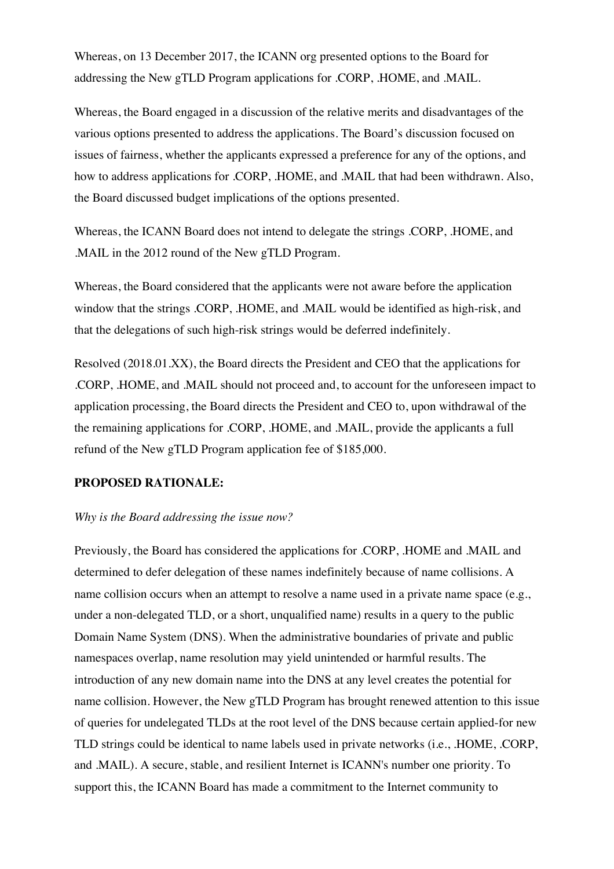Whereas, on 13 December 2017, the ICANN org presented options to the Board for addressing the New gTLD Program applications for .CORP, .HOME, and .MAIL.

Whereas, the Board engaged in a discussion of the relative merits and disadvantages of the various options presented to address the applications. The Board's discussion focused on issues of fairness, whether the applicants expressed a preference for any of the options, and how to address applications for .CORP, .HOME, and .MAIL that had been withdrawn. Also, the Board discussed budget implications of the options presented.

Whereas, the ICANN Board does not intend to delegate the strings .CORP, .HOME, and .MAIL in the 2012 round of the New gTLD Program.

Whereas, the Board considered that the applicants were not aware before the application window that the strings .CORP, .HOME, and .MAIL would be identified as high-risk, and that the delegations of such high-risk strings would be deferred indefinitely.

Resolved (2018.01.XX), the Board directs the President and CEO that the applications for .CORP, .HOME, and .MAIL should not proceed and, to account for the unforeseen impact to application processing, the Board directs the President and CEO to, upon withdrawal of the the remaining applications for .CORP, .HOME, and .MAIL, provide the applicants a full refund of the New gTLD Program application fee of \$185,000.

#### **PROPOSED RATIONALE:**

#### *Why is the Board addressing the issue now?*

Previously, the Board has considered the applications for .CORP, .HOME and .MAIL and determined to defer delegation of these names indefinitely because of name collisions. A name collision occurs when an attempt to resolve a name used in a private name space (e.g., under a non-delegated TLD, or a short, unqualified name) results in a query to the public Domain Name System (DNS). When the administrative boundaries of private and public namespaces overlap, name resolution may yield unintended or harmful results. The introduction of any new domain name into the DNS at any level creates the potential for name collision. However, the New gTLD Program has brought renewed attention to this issue of queries for undelegated TLDs at the root level of the DNS because certain applied-for new TLD strings could be identical to name labels used in private networks (i.e., .HOME, .CORP, and .MAIL). A secure, stable, and resilient Internet is ICANN's number one priority. To support this, the ICANN Board has made a commitment to the Internet community to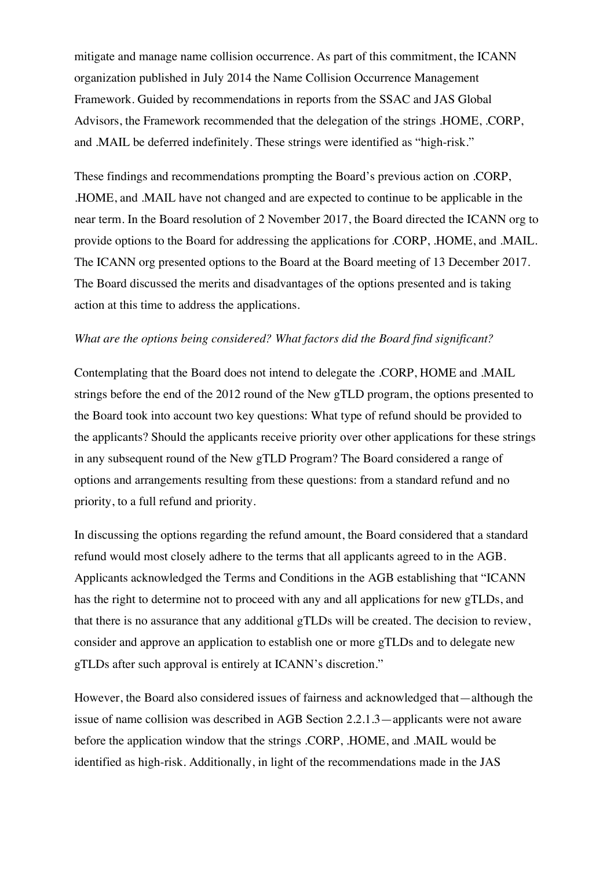mitigate and manage name collision occurrence. As part of this commitment, the ICANN organization published in July 2014 the Name Collision Occurrence Management Framework. Guided by recommendations in reports from the SSAC and JAS Global Advisors, the Framework recommended that the delegation of the strings .HOME, .CORP, and .MAIL be deferred indefinitely. These strings were identified as "high-risk."

These findings and recommendations prompting the Board's previous action on .CORP, .HOME, and .MAIL have not changed and are expected to continue to be applicable in the near term. In the Board resolution of 2 November 2017, the Board directed the ICANN org to provide options to the Board for addressing the applications for .CORP, .HOME, and .MAIL. The ICANN org presented options to the Board at the Board meeting of 13 December 2017. The Board discussed the merits and disadvantages of the options presented and is taking action at this time to address the applications.

#### *What are the options being considered? What factors did the Board find significant?*

Contemplating that the Board does not intend to delegate the .CORP, HOME and .MAIL strings before the end of the 2012 round of the New gTLD program, the options presented to the Board took into account two key questions: What type of refund should be provided to the applicants? Should the applicants receive priority over other applications for these strings in any subsequent round of the New gTLD Program? The Board considered a range of options and arrangements resulting from these questions: from a standard refund and no priority, to a full refund and priority.

In discussing the options regarding the refund amount, the Board considered that a standard refund would most closely adhere to the terms that all applicants agreed to in the AGB. Applicants acknowledged the Terms and Conditions in the AGB establishing that "ICANN has the right to determine not to proceed with any and all applications for new gTLDs, and that there is no assurance that any additional gTLDs will be created. The decision to review, consider and approve an application to establish one or more gTLDs and to delegate new gTLDs after such approval is entirely at ICANN's discretion."

However, the Board also considered issues of fairness and acknowledged that—although the issue of name collision was described in AGB Section 2.2.1.3—applicants were not aware before the application window that the strings .CORP, .HOME, and .MAIL would be identified as high-risk. Additionally, in light of the recommendations made in the JAS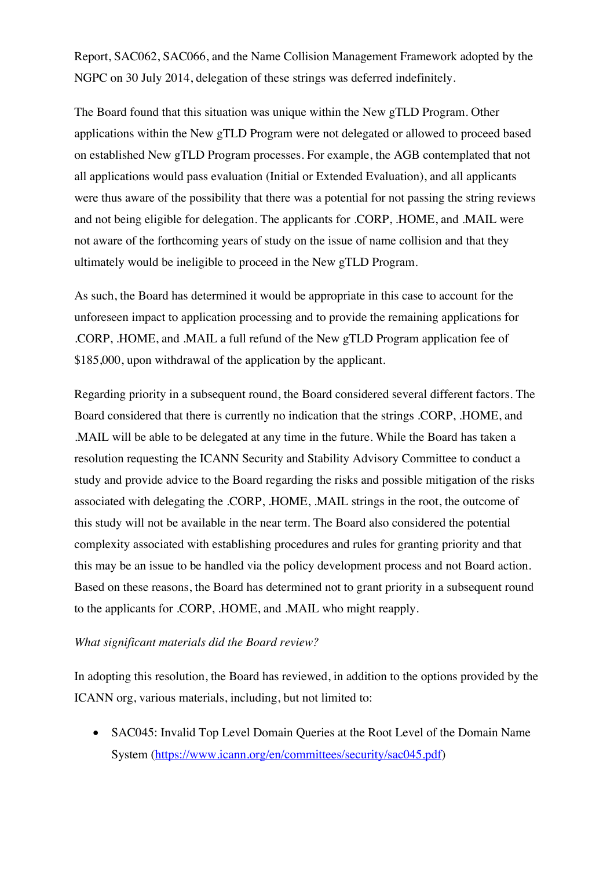Report, SAC062, SAC066, and the Name Collision Management Framework adopted by the NGPC on 30 July 2014, delegation of these strings was deferred indefinitely.

The Board found that this situation was unique within the New gTLD Program. Other applications within the New gTLD Program were not delegated or allowed to proceed based on established New gTLD Program processes. For example, the AGB contemplated that not all applications would pass evaluation (Initial or Extended Evaluation), and all applicants were thus aware of the possibility that there was a potential for not passing the string reviews and not being eligible for delegation. The applicants for .CORP, .HOME, and .MAIL were not aware of the forthcoming years of study on the issue of name collision and that they ultimately would be ineligible to proceed in the New gTLD Program.

As such, the Board has determined it would be appropriate in this case to account for the unforeseen impact to application processing and to provide the remaining applications for .CORP, .HOME, and .MAIL a full refund of the New gTLD Program application fee of \$185,000, upon withdrawal of the application by the applicant.

Regarding priority in a subsequent round, the Board considered several different factors. The Board considered that there is currently no indication that the strings .CORP, .HOME, and .MAIL will be able to be delegated at any time in the future. While the Board has taken a resolution requesting the ICANN Security and Stability Advisory Committee to conduct a study and provide advice to the Board regarding the risks and possible mitigation of the risks associated with delegating the .CORP, .HOME, .MAIL strings in the root, the outcome of this study will not be available in the near term. The Board also considered the potential complexity associated with establishing procedures and rules for granting priority and that this may be an issue to be handled via the policy development process and not Board action. Based on these reasons, the Board has determined not to grant priority in a subsequent round to the applicants for .CORP, .HOME, and .MAIL who might reapply.

#### *What significant materials did the Board review?*

In adopting this resolution, the Board has reviewed, in addition to the options provided by the ICANN org, various materials, including, but not limited to:

• SAC045: Invalid Top Level Domain Queries at the Root Level of the Domain Name System (https://www.icann.org/en/committees/security/sac045.pdf)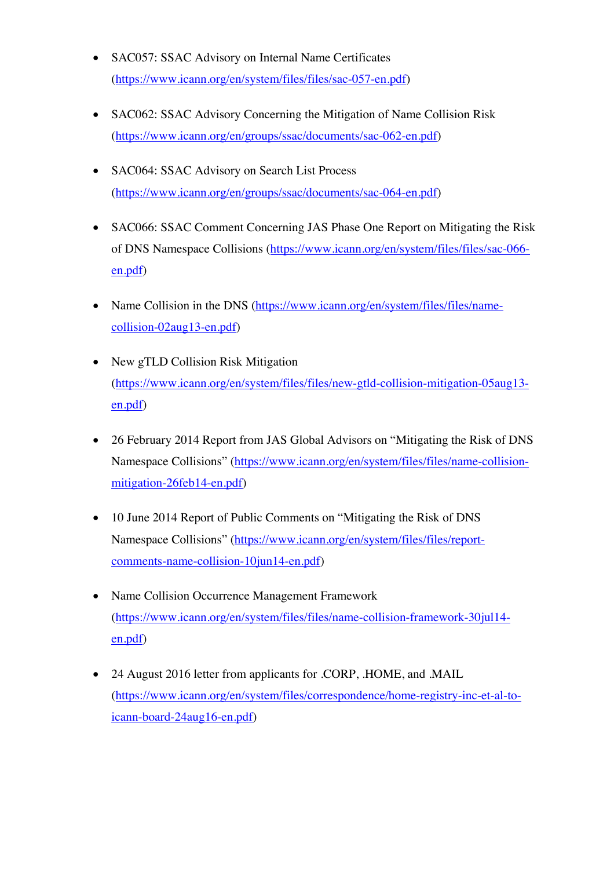- SAC057: SSAC Advisory on Internal Name Certificates (https://www.icann.org/en/system/files/files/sac-057-en.pdf)
- SAC062: SSAC Advisory Concerning the Mitigation of Name Collision Risk (https://www.icann.org/en/groups/ssac/documents/sac-062-en.pdf)
- SAC064: SSAC Advisory on Search List Process (https://www.icann.org/en/groups/ssac/documents/sac-064-en.pdf)
- SAC066: SSAC Comment Concerning JAS Phase One Report on Mitigating the Risk of DNS Namespace Collisions (https://www.icann.org/en/system/files/files/sac-066 en.pdf)
- Name Collision in the DNS (https://www.icann.org/en/system/files/files/namecollision-02aug13-en.pdf)
- New gTLD Collision Risk Mitigation (https://www.icann.org/en/system/files/files/new-gtld-collision-mitigation-05aug13 en.pdf)
- 26 February 2014 Report from JAS Global Advisors on "Mitigating the Risk of DNS Namespace Collisions" (https://www.icann.org/en/system/files/files/name-collisionmitigation-26feb14-en.pdf)
- 10 June 2014 Report of Public Comments on "Mitigating the Risk of DNS Namespace Collisions" (https://www.icann.org/en/system/files/files/reportcomments-name-collision-10jun14-en.pdf)
- Name Collision Occurrence Management Framework (https://www.icann.org/en/system/files/files/name-collision-framework-30jul14 en.pdf)
- 24 August 2016 letter from applicants for .CORP, .HOME, and .MAIL (https://www.icann.org/en/system/files/correspondence/home-registry-inc-et-al-toicann-board-24aug16-en.pdf)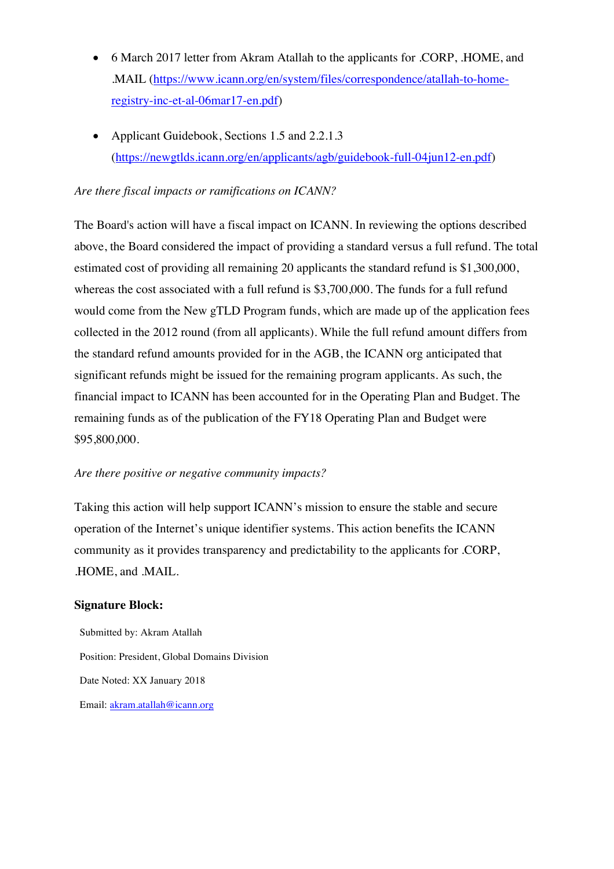- 6 March 2017 letter from Akram Atallah to the applicants for .CORP, .HOME, and .MAIL (https://www.icann.org/en/system/files/correspondence/atallah-to-homeregistry-inc-et-al-06mar17-en.pdf)
- Applicant Guidebook, Sections 1.5 and 2.2.1.3 (https://newgtlds.icann.org/en/applicants/agb/guidebook-full-04jun12-en.pdf)

#### *Are there fiscal impacts or ramifications on ICANN?*

The Board's action will have a fiscal impact on ICANN. In reviewing the options described above, the Board considered the impact of providing a standard versus a full refund. The total estimated cost of providing all remaining 20 applicants the standard refund is \$1,300,000, whereas the cost associated with a full refund is \$3,700,000. The funds for a full refund would come from the New gTLD Program funds, which are made up of the application fees collected in the 2012 round (from all applicants). While the full refund amount differs from the standard refund amounts provided for in the AGB, the ICANN org anticipated that significant refunds might be issued for the remaining program applicants. As such, the financial impact to ICANN has been accounted for in the Operating Plan and Budget. The remaining funds as of the publication of the FY18 Operating Plan and Budget were \$95,800,000.

#### *Are there positive or negative community impacts?*

Taking this action will help support ICANN's mission to ensure the stable and secure operation of the Internet's unique identifier systems. This action benefits the ICANN community as it provides transparency and predictability to the applicants for .CORP, .HOME, and .MAIL.

#### **Signature Block:**

Submitted by: Akram Atallah Position: President, Global Domains Division Date Noted: XX January 2018 Email: akram.atallah@icann.org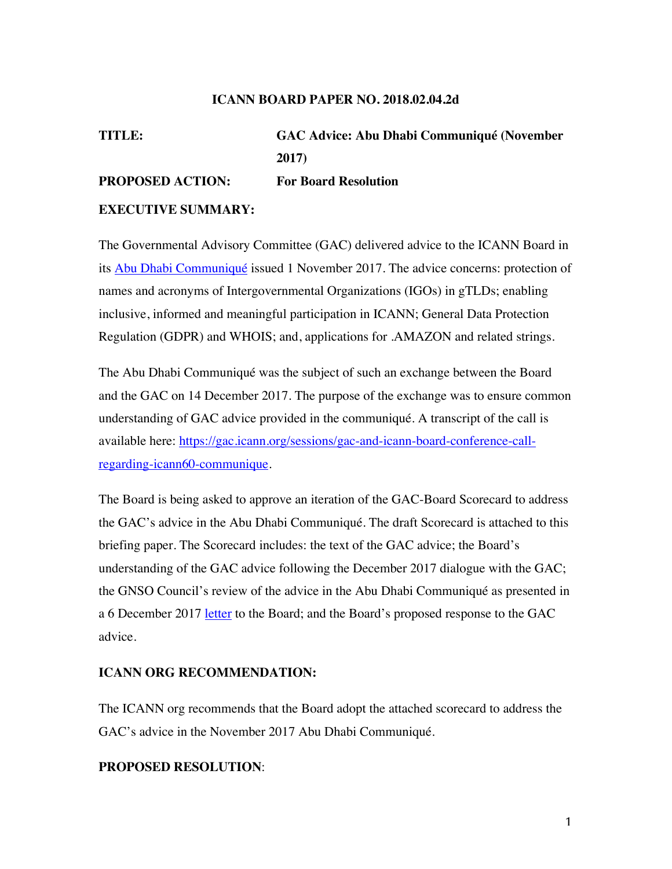#### **ICANN BOARD PAPER NO. 2018.02.04.2d**

# **TITLE: GAC Advice: Abu Dhabi Communiqué (November 2017) PROPOSED ACTION: For Board Resolution**

#### **EXECUTIVE SUMMARY:**

The Governmental Advisory Committee (GAC) delivered advice to the ICANN Board in its Abu Dhabi Communiqué issued 1 November 2017. The advice concerns: protection of names and acronyms of Intergovernmental Organizations (IGOs) in gTLDs; enabling inclusive, informed and meaningful participation in ICANN; General Data Protection Regulation (GDPR) and WHOIS; and, applications for .AMAZON and related strings.

The Abu Dhabi Communiqué was the subject of such an exchange between the Board and the GAC on 14 December 2017. The purpose of the exchange was to ensure common understanding of GAC advice provided in the communiqué. A transcript of the call is available here: https://gac.icann.org/sessions/gac-and-icann-board-conference-callregarding-icann60-communique.

The Board is being asked to approve an iteration of the GAC-Board Scorecard to address the GAC's advice in the Abu Dhabi Communiqué. The draft Scorecard is attached to this briefing paper. The Scorecard includes: the text of the GAC advice; the Board's understanding of the GAC advice following the December 2017 dialogue with the GAC; the GNSO Council's review of the advice in the Abu Dhabi Communiqué as presented in a 6 December 2017 <u>letter</u> to the Board; and the Board's proposed response to the GAC advice.

#### **ICANN ORG RECOMMENDATION:**

The ICANN org recommends that the Board adopt the attached scorecard to address the GAC's advice in the November 2017 Abu Dhabi Communiqué.

#### **PROPOSED RESOLUTION**: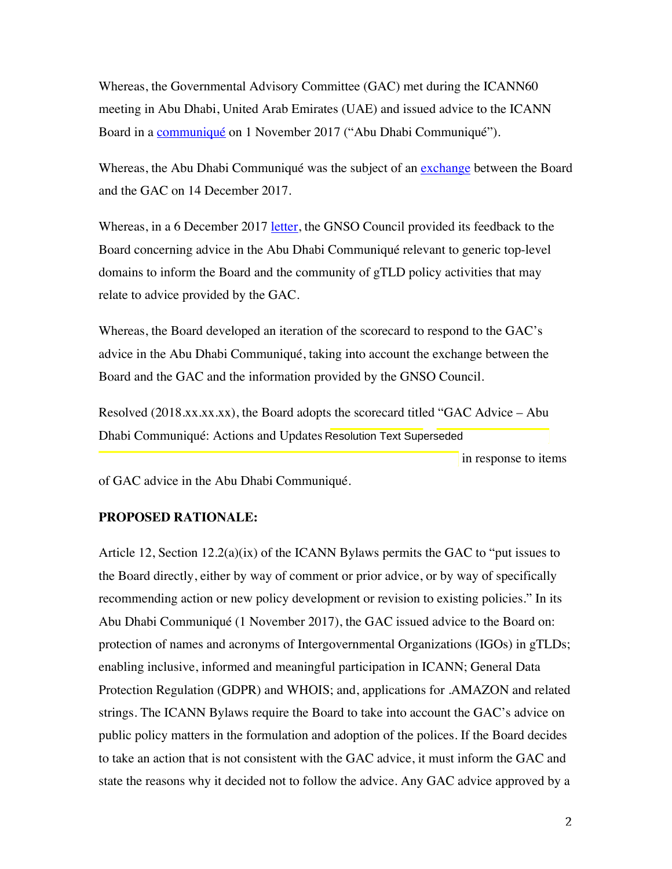Whereas, the Governmental Advisory Committee (GAC) met during the ICANN60 meeting in Abu Dhabi, United Arab Emirates (UAE) and issued advice to the ICANN Board in a communiqué on 1 November 2017 ("Abu Dhabi Communiqué").

Whereas, the Abu Dhabi Communiqué was the subject of an exchange between the Board and the GAC on 14 December 2017.

Whereas, in a 6 December 2017 letter, the GNSO Council provided its feedback to the Board concerning advice in the Abu Dhabi Communiqué relevant to generic top-level domains to inform the Board and the community of gTLD policy activities that may relate to advice provided by the GAC.

Whereas, the Board developed an iteration of the scorecard to respond to the GAC's advice in the Abu Dhabi Communiqué, taking into account the exchange between the Board and the GAC and the information provided by the GNSO Council.

Resolved  $(2018.xx.xx.x)$ , the Board adopts the scorecard titled "GAC Advice – Abu Dhabi Communiqué: Actions and Updates Resolution Text Superseded

in response to items

of GAC advice in the Abu Dhabi Communiqué.

#### **PROPOSED RATIONALE:**

Article 12, Section  $12.2(a)(ix)$  of the ICANN Bylaws permits the GAC to "put issues to the Board directly, either by way of comment or prior advice, or by way of specifically recommending action or new policy development or revision to existing policies." In its Abu Dhabi Communiqué (1 November 2017), the GAC issued advice to the Board on: protection of names and acronyms of Intergovernmental Organizations (IGOs) in gTLDs; enabling inclusive, informed and meaningful participation in ICANN; General Data Protection Regulation (GDPR) and WHOIS; and, applications for .AMAZON and related strings. The ICANN Bylaws require the Board to take into account the GAC's advice on public policy matters in the formulation and adoption of the polices. If the Board decides to take an action that is not consistent with the GAC advice, it must inform the GAC and state the reasons why it decided not to follow the advice. Any GAC advice approved by a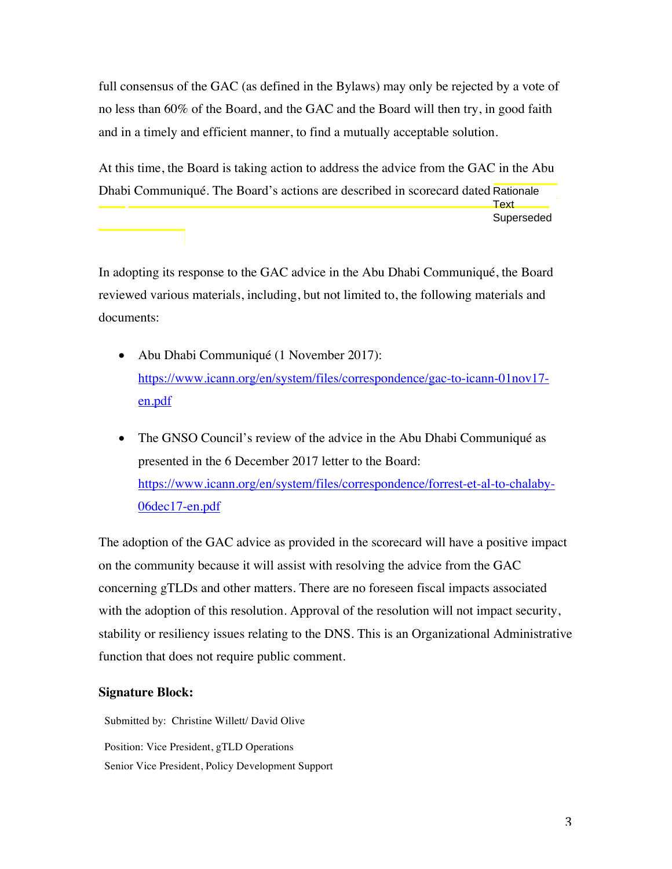full consensus of the GAC (as defined in the Bylaws) may only be rejected by a vote of no less than 60% of the Board, and the GAC and the Board will then try, in good faith and in a timely and efficient manner, to find a mutually acceptable solution.

At this time, the Board is taking action to address the advice from the GAC in the Abu Dhabi Communiqué. The Board's actions are described in scorecard dated Rationale Text Superseded

In adopting its response to the GAC advice in the Abu Dhabi Communiqué, the Board reviewed various materials, including, but not limited to, the following materials and documents:

- Abu Dhabi Communiqué (1 November 2017): https://www.icann.org/en/system/files/correspondence/gac-to-icann-01nov17 en.pdf
- The GNSO Council's review of the advice in the Abu Dhabi Communiqué as presented in the 6 December 2017 letter to the Board: https://www.icann.org/en/system/files/correspondence/forrest-et-al-to-chalaby-06dec17-en.pdf

The adoption of the GAC advice as provided in the scorecard will have a positive impact on the community because it will assist with resolving the advice from the GAC concerning gTLDs and other matters. There are no foreseen fiscal impacts associated with the adoption of this resolution. Approval of the resolution will not impact security, stability or resiliency issues relating to the DNS. This is an Organizational Administrative function that does not require public comment.

### **Signature Block:**

Submitted by: Christine Willett/ David Olive Position: Vice President, gTLD Operations Senior Vice President, Policy Development Support